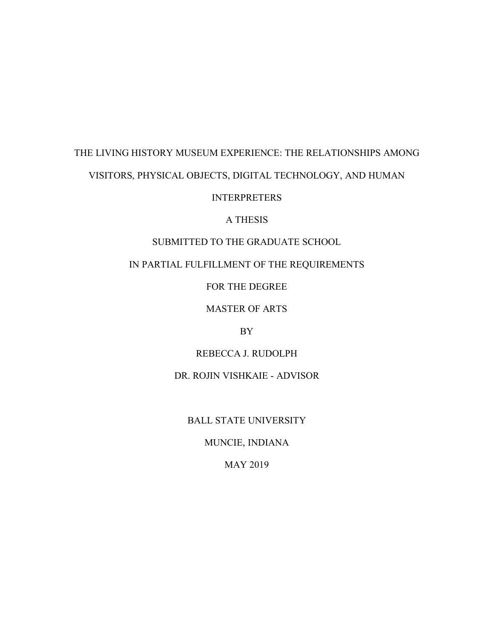# THE LIVING HISTORY MUSEUM EXPERIENCE: THE RELATIONSHIPS AMONG

# VISITORS, PHYSICAL OBJECTS, DIGITAL TECHNOLOGY, AND HUMAN

# INTERPRETERS

## A THESIS

# SUBMITTED TO THE GRADUATE SCHOOL

# IN PARTIAL FULFILLMENT OF THE REQUIREMENTS

FOR THE DEGREE

## MASTER OF ARTS

## BY

## REBECCA J. RUDOLPH

## DR. ROJIN VISHKAIE - ADVISOR

## BALL STATE UNIVERSITY

# MUNCIE, INDIANA

## MAY 2019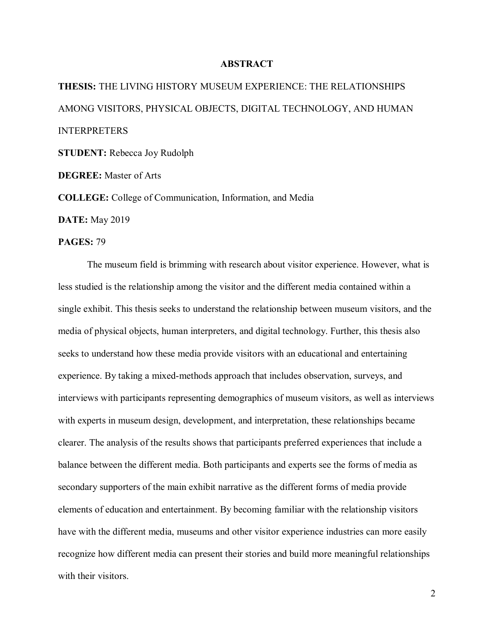#### **ABSTRACT**

**THESIS:** THE LIVING HISTORY MUSEUM EXPERIENCE: THE RELATIONSHIPS AMONG VISITORS, PHYSICAL OBJECTS, DIGITAL TECHNOLOGY, AND HUMAN INTERPRETERS **STUDENT:** Rebecca Joy Rudolph

**DEGREE:** Master of Arts

**COLLEGE:** College of Communication, Information, and Media

**DATE:** May 2019

#### **PAGES:** 79

The museum field is brimming with research about visitor experience. However, what is less studied is the relationship among the visitor and the different media contained within a single exhibit. This thesis seeks to understand the relationship between museum visitors, and the media of physical objects, human interpreters, and digital technology. Further, this thesis also seeks to understand how these media provide visitors with an educational and entertaining experience. By taking a mixed-methods approach that includes observation, surveys, and interviews with participants representing demographics of museum visitors, as well as interviews with experts in museum design, development, and interpretation, these relationships became clearer. The analysis of the results shows that participants preferred experiences that include a balance between the different media. Both participants and experts see the forms of media as secondary supporters of the main exhibit narrative as the different forms of media provide elements of education and entertainment. By becoming familiar with the relationship visitors have with the different media, museums and other visitor experience industries can more easily recognize how different media can present their stories and build more meaningful relationships with their visitors.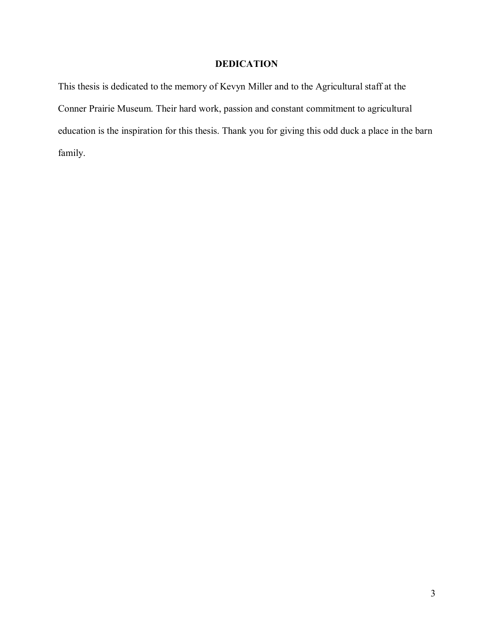# **DEDICATION**

This thesis is dedicated to the memory of Kevyn Miller and to the Agricultural staff at the Conner Prairie Museum. Their hard work, passion and constant commitment to agricultural education is the inspiration for this thesis. Thank you for giving this odd duck a place in the barn family.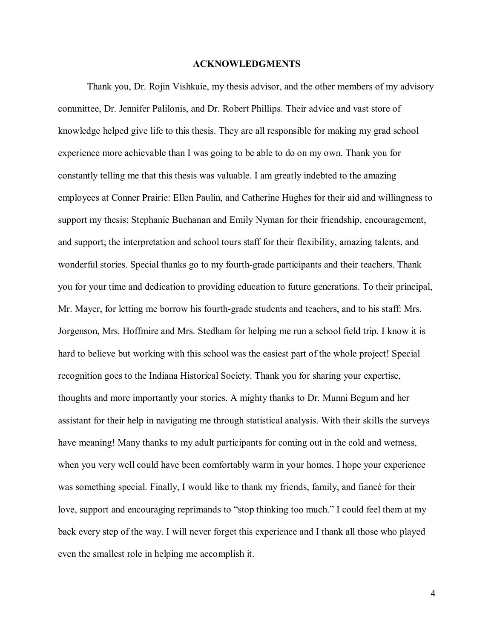#### **ACKNOWLEDGMENTS**

Thank you, Dr. Rojin Vishkaie, my thesis advisor, and the other members of my advisory committee, Dr. Jennifer Palilonis, and Dr. Robert Phillips. Their advice and vast store of knowledge helped give life to this thesis. They are all responsible for making my grad school experience more achievable than I was going to be able to do on my own. Thank you for constantly telling me that this thesis was valuable. I am greatly indebted to the amazing employees at Conner Prairie: Ellen Paulin, and Catherine Hughes for their aid and willingness to support my thesis; Stephanie Buchanan and Emily Nyman for their friendship, encouragement, and support; the interpretation and school tours staff for their flexibility, amazing talents, and wonderful stories. Special thanks go to my fourth-grade participants and their teachers. Thank you for your time and dedication to providing education to future generations. To their principal, Mr. Mayer, for letting me borrow his fourth-grade students and teachers, and to his staff: Mrs. Jorgenson, Mrs. Hoffmire and Mrs. Stedham for helping me run a school field trip. I know it is hard to believe but working with this school was the easiest part of the whole project! Special recognition goes to the Indiana Historical Society. Thank you for sharing your expertise, thoughts and more importantly your stories. A mighty thanks to Dr. Munni Begum and her assistant for their help in navigating me through statistical analysis. With their skills the surveys have meaning! Many thanks to my adult participants for coming out in the cold and wetness, when you very well could have been comfortably warm in your homes. I hope your experience was something special. Finally, I would like to thank my friends, family, and fiancé for their love, support and encouraging reprimands to "stop thinking too much." I could feel them at my back every step of the way. I will never forget this experience and I thank all those who played even the smallest role in helping me accomplish it.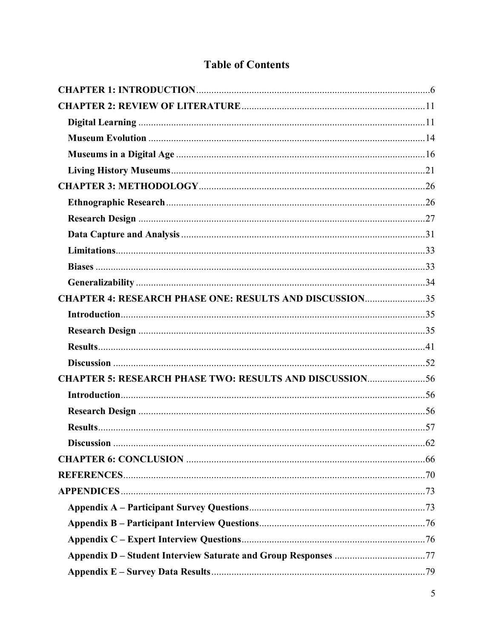# **Table of Contents**

| <b>CHAPTER 4: RESEARCH PHASE ONE: RESULTS AND DISCUSSION35</b> |  |
|----------------------------------------------------------------|--|
|                                                                |  |
|                                                                |  |
|                                                                |  |
|                                                                |  |
| <b>CHAPTER 5: RESEARCH PHASE TWO: RESULTS AND DISCUSSION56</b> |  |
|                                                                |  |
|                                                                |  |
|                                                                |  |
|                                                                |  |
|                                                                |  |
|                                                                |  |
|                                                                |  |
|                                                                |  |
|                                                                |  |
|                                                                |  |
|                                                                |  |
|                                                                |  |
|                                                                |  |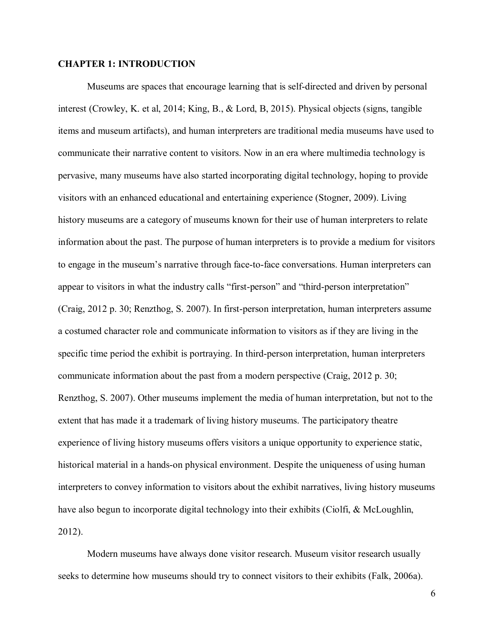#### <span id="page-5-0"></span>**CHAPTER 1: INTRODUCTION**

Museums are spaces that encourage learning that is self-directed and driven by personal interest (Crowley, K. et al, 2014; King, B., & Lord, B, 2015). Physical objects (signs, tangible items and museum artifacts), and human interpreters are traditional media museums have used to communicate their narrative content to visitors. Now in an era where multimedia technology is pervasive, many museums have also started incorporating digital technology, hoping to provide visitors with an enhanced educational and entertaining experience (Stogner, 2009). Living history museums are a category of museums known for their use of human interpreters to relate information about the past. The purpose of human interpreters is to provide a medium for visitors to engage in the museum's narrative through face-to-face conversations. Human interpreters can appear to visitors in what the industry calls "first-person" and "third-person interpretation" (Craig, 2012 p. 30; Renzthog, S. 2007). In first-person interpretation, human interpreters assume a costumed character role and communicate information to visitors as if they are living in the specific time period the exhibit is portraying. In third-person interpretation, human interpreters communicate information about the past from a modern perspective (Craig, 2012 p. 30; Renzthog, S. 2007). Other museums implement the media of human interpretation, but not to the extent that has made it a trademark of living history museums. The participatory theatre experience of living history museums offers visitors a unique opportunity to experience static, historical material in a hands-on physical environment. Despite the uniqueness of using human interpreters to convey information to visitors about the exhibit narratives, living history museums have also begun to incorporate digital technology into their exhibits (Ciolfi, & McLoughlin, 2012).

Modern museums have always done visitor research. Museum visitor research usually seeks to determine how museums should try to connect visitors to their exhibits (Falk, 2006a).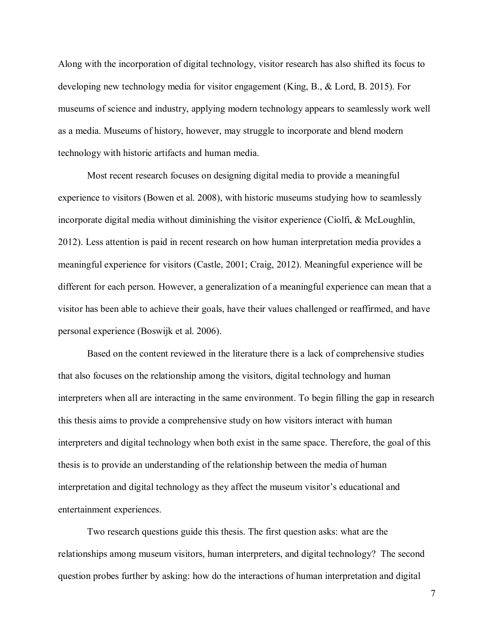Along with the incorporation of digital technology, visitor research has also shifted its focus to developing new technology media for visitor engagement (King, B., & Lord, B. 2015). For museums of science and industry, applying modern technology appears to seamlessly work well as a media. Museums of history, however, may struggle to incorporate and blend modern technology with historic artifacts and human media.

Most recent research focuses on designing digital media to provide a meaningful experience to visitors (Bowen et al. 2008), with historic museums studying how to seamlessly incorporate digital media without diminishing the visitor experience (Ciolfi, & McLoughlin, 2012). Less attention is paid in recent research on how human interpretation media provides a meaningful experience for visitors (Castle, 2001; Craig, 2012). Meaningful experience will be different for each person. However, a generalization of a meaningful experience can mean that a visitor has been able to achieve their goals, have their values challenged or reaffirmed, and have personal experience (Boswijk et al. 2006).

Based on the content reviewed in the literature there is a lack of comprehensive studies that also focuses on the relationship among the visitors, digital technology and human interpreters when all are interacting in the same environment. To begin filling the gap in research this thesis aims to provide a comprehensive study on how visitors interact with human interpreters and digital technology when both exist in the same space. Therefore, the goal of this thesis is to provide an understanding of the relationship between the media of human interpretation and digital technology as they affect the museum visitor's educational and entertainment experiences.

Two research questions guide this thesis. The first question asks: what are the relationships among museum visitors, human interpreters, and digital technology? The second question probes further by asking: how do the interactions of human interpretation and digital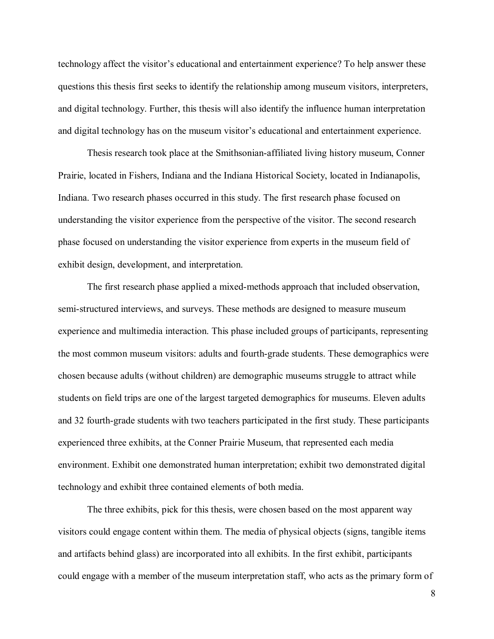technology affect the visitor's educational and entertainment experience? To help answer these questions this thesis first seeks to identify the relationship among museum visitors, interpreters, and digital technology. Further, this thesis will also identify the influence human interpretation and digital technology has on the museum visitor's educational and entertainment experience.

Thesis research took place at the Smithsonian-affiliated living history museum, Conner Prairie, located in Fishers, Indiana and the Indiana Historical Society, located in Indianapolis, Indiana. Two research phases occurred in this study. The first research phase focused on understanding the visitor experience from the perspective of the visitor. The second research phase focused on understanding the visitor experience from experts in the museum field of exhibit design, development, and interpretation.

The first research phase applied a mixed-methods approach that included observation, semi-structured interviews, and surveys. These methods are designed to measure museum experience and multimedia interaction. This phase included groups of participants, representing the most common museum visitors: adults and fourth-grade students. These demographics were chosen because adults (without children) are demographic museums struggle to attract while students on field trips are one of the largest targeted demographics for museums. Eleven adults and 32 fourth-grade students with two teachers participated in the first study. These participants experienced three exhibits, at the Conner Prairie Museum, that represented each media environment. Exhibit one demonstrated human interpretation; exhibit two demonstrated digital technology and exhibit three contained elements of both media.

The three exhibits, pick for this thesis, were chosen based on the most apparent way visitors could engage content within them. The media of physical objects (signs, tangible items and artifacts behind glass) are incorporated into all exhibits. In the first exhibit, participants could engage with a member of the museum interpretation staff, who acts as the primary form of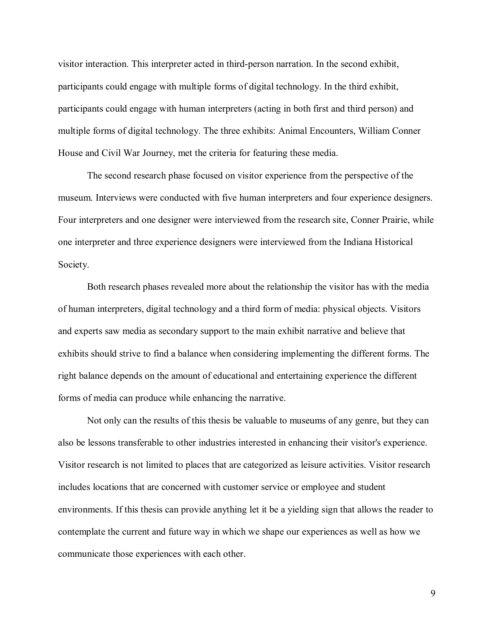visitor interaction. This interpreter acted in third-person narration. In the second exhibit, participants could engage with multiple forms of digital technology. In the third exhibit, participants could engage with human interpreters (acting in both first and third person) and multiple forms of digital technology. The three exhibits: Animal Encounters, William Conner House and Civil War Journey, met the criteria for featuring these media.

The second research phase focused on visitor experience from the perspective of the museum. Interviews were conducted with five human interpreters and four experience designers. Four interpreters and one designer were interviewed from the research site, Conner Prairie, while one interpreter and three experience designers were interviewed from the Indiana Historical Society.

Both research phases revealed more about the relationship the visitor has with the media of human interpreters, digital technology and a third form of media: physical objects. Visitors and experts saw media as secondary support to the main exhibit narrative and believe that exhibits should strive to find a balance when considering implementing the different forms. The right balance depends on the amount of educational and entertaining experience the different forms of media can produce while enhancing the narrative.

Not only can the results of this thesis be valuable to museums of any genre, but they can also be lessons transferable to other industries interested in enhancing their visitor's experience. Visitor research is not limited to places that are categorized as leisure activities. Visitor research includes locations that are concerned with customer service or employee and student environments. If this thesis can provide anything let it be a yielding sign that allows the reader to contemplate the current and future way in which we shape our experiences as well as how we communicate those experiences with each other.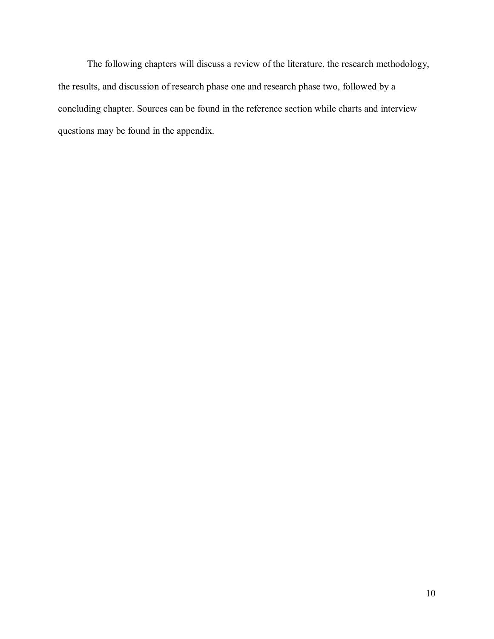The following chapters will discuss a review of the literature, the research methodology, the results, and discussion of research phase one and research phase two, followed by a concluding chapter. Sources can be found in the reference section while charts and interview questions may be found in the appendix.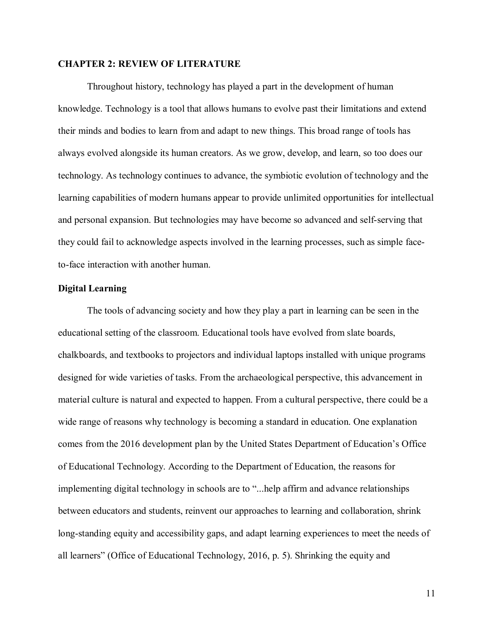#### <span id="page-10-0"></span>**CHAPTER 2: REVIEW OF LITERATURE**

Throughout history, technology has played a part in the development of human knowledge. Technology is a tool that allows humans to evolve past their limitations and extend their minds and bodies to learn from and adapt to new things. This broad range of tools has always evolved alongside its human creators. As we grow, develop, and learn, so too does our technology. As technology continues to advance, the symbiotic evolution of technology and the learning capabilities of modern humans appear to provide unlimited opportunities for intellectual and personal expansion. But technologies may have become so advanced and self-serving that they could fail to acknowledge aspects involved in the learning processes, such as simple faceto-face interaction with another human.

#### <span id="page-10-1"></span>**Digital Learning**

The tools of advancing society and how they play a part in learning can be seen in the educational setting of the classroom. Educational tools have evolved from slate boards, chalkboards, and textbooks to projectors and individual laptops installed with unique programs designed for wide varieties of tasks. From the archaeological perspective, this advancement in material culture is natural and expected to happen. From a cultural perspective, there could be a wide range of reasons why technology is becoming a standard in education. One explanation comes from the 2016 development plan by the United States Department of Education's Office of Educational Technology. According to the Department of Education, the reasons for implementing digital technology in schools are to "...help affirm and advance relationships between educators and students, reinvent our approaches to learning and collaboration, shrink long-standing equity and accessibility gaps, and adapt learning experiences to meet the needs of all learners" (Office of Educational Technology, 2016, p. 5). Shrinking the equity and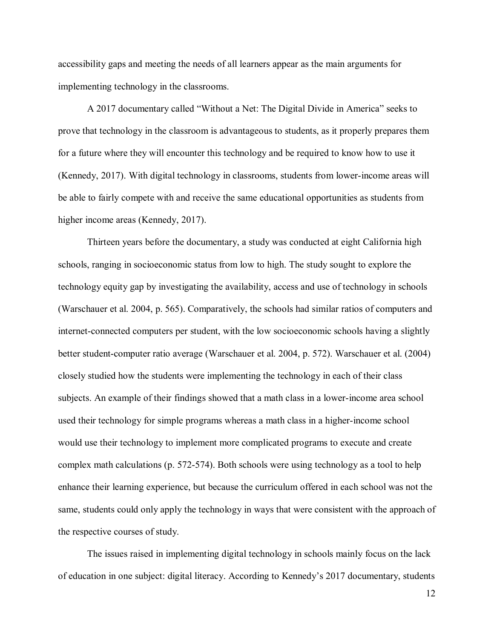accessibility gaps and meeting the needs of all learners appear as the main arguments for implementing technology in the classrooms.

A 2017 documentary called "Without a Net: The Digital Divide in America" seeks to prove that technology in the classroom is advantageous to students, as it properly prepares them for a future where they will encounter this technology and be required to know how to use it (Kennedy, 2017). With digital technology in classrooms, students from lower-income areas will be able to fairly compete with and receive the same educational opportunities as students from higher income areas (Kennedy, 2017).

Thirteen years before the documentary, a study was conducted at eight California high schools, ranging in socioeconomic status from low to high. The study sought to explore the technology equity gap by investigating the availability, access and use of technology in schools (Warschauer et al. 2004, p. 565). Comparatively, the schools had similar ratios of computers and internet-connected computers per student, with the low socioeconomic schools having a slightly better student-computer ratio average (Warschauer et al. 2004, p. 572). Warschauer et al. (2004) closely studied how the students were implementing the technology in each of their class subjects. An example of their findings showed that a math class in a lower-income area school used their technology for simple programs whereas a math class in a higher-income school would use their technology to implement more complicated programs to execute and create complex math calculations (p. 572-574). Both schools were using technology as a tool to help enhance their learning experience, but because the curriculum offered in each school was not the same, students could only apply the technology in ways that were consistent with the approach of the respective courses of study.

The issues raised in implementing digital technology in schools mainly focus on the lack of education in one subject: digital literacy. According to Kennedy's 2017 documentary, students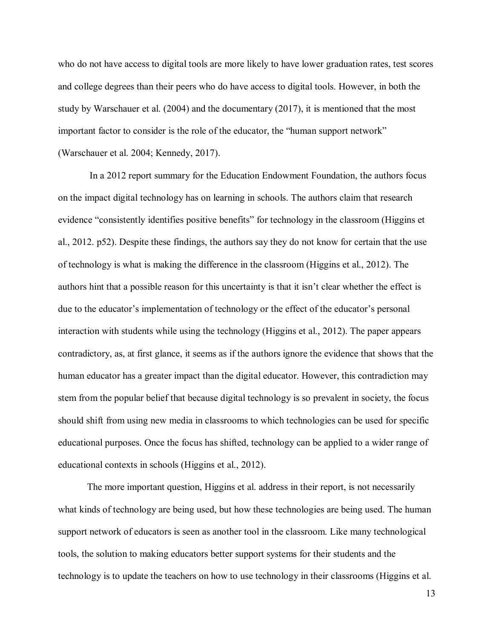who do not have access to digital tools are more likely to have lower graduation rates, test scores and college degrees than their peers who do have access to digital tools. However, in both the study by Warschauer et al. (2004) and the documentary (2017), it is mentioned that the most important factor to consider is the role of the educator, the "human support network" (Warschauer et al. 2004; Kennedy, 2017).

In a 2012 report summary for the Education Endowment Foundation, the authors focus on the impact digital technology has on learning in schools. The authors claim that research evidence "consistently identifies positive benefits" for technology in the classroom (Higgins et al., 2012. p52). Despite these findings, the authors say they do not know for certain that the use of technology is what is making the difference in the classroom (Higgins et al., 2012). The authors hint that a possible reason for this uncertainty is that it isn't clear whether the effect is due to the educator's implementation of technology or the effect of the educator's personal interaction with students while using the technology (Higgins et al., 2012). The paper appears contradictory, as, at first glance, it seems as if the authors ignore the evidence that shows that the human educator has a greater impact than the digital educator. However, this contradiction may stem from the popular belief that because digital technology is so prevalent in society, the focus should shift from using new media in classrooms to which technologies can be used for specific educational purposes. Once the focus has shifted, technology can be applied to a wider range of educational contexts in schools (Higgins et al., 2012).

The more important question, Higgins et al. address in their report, is not necessarily what kinds of technology are being used, but how these technologies are being used. The human support network of educators is seen as another tool in the classroom. Like many technological tools, the solution to making educators better support systems for their students and the technology is to update the teachers on how to use technology in their classrooms (Higgins et al.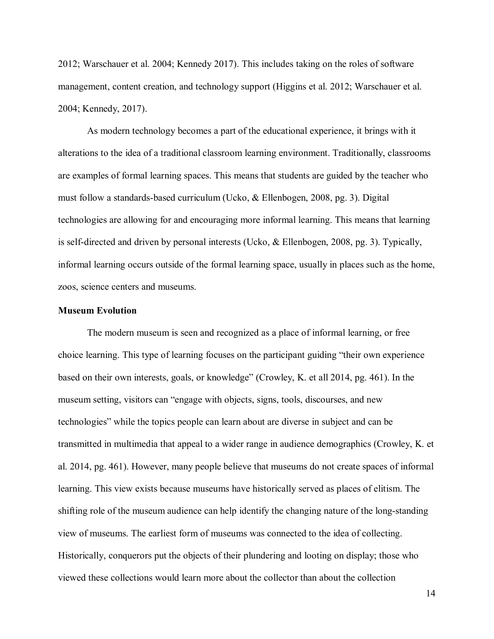2012; Warschauer et al. 2004; Kennedy 2017). This includes taking on the roles of software management, content creation, and technology support (Higgins et al. 2012; Warschauer et al. 2004; Kennedy, 2017).

As modern technology becomes a part of the educational experience, it brings with it alterations to the idea of a traditional classroom learning environment. Traditionally, classrooms are examples of formal learning spaces. This means that students are guided by the teacher who must follow a standards-based curriculum (Ucko, & Ellenbogen, 2008, pg. 3). Digital technologies are allowing for and encouraging more informal learning. This means that learning is self-directed and driven by personal interests (Ucko, & Ellenbogen, 2008, pg. 3). Typically, informal learning occurs outside of the formal learning space, usually in places such as the home, zoos, science centers and museums.

#### <span id="page-13-0"></span>**Museum Evolution**

The modern museum is seen and recognized as a place of informal learning, or free choice learning. This type of learning focuses on the participant guiding "their own experience based on their own interests, goals, or knowledge" (Crowley, K. et all 2014, pg. 461). In the museum setting, visitors can "engage with objects, signs, tools, discourses, and new technologies" while the topics people can learn about are diverse in subject and can be transmitted in multimedia that appeal to a wider range in audience demographics (Crowley, K. et al. 2014, pg. 461). However, many people believe that museums do not create spaces of informal learning. This view exists because museums have historically served as places of elitism. The shifting role of the museum audience can help identify the changing nature of the long-standing view of museums. The earliest form of museums was connected to the idea of collecting. Historically, conquerors put the objects of their plundering and looting on display; those who viewed these collections would learn more about the collector than about the collection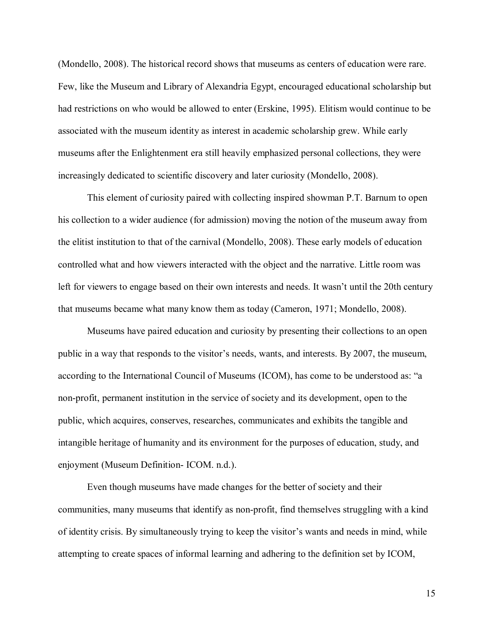(Mondello, 2008). The historical record shows that museums as centers of education were rare. Few, like the Museum and Library of Alexandria Egypt, encouraged educational scholarship but had restrictions on who would be allowed to enter (Erskine, 1995). Elitism would continue to be associated with the museum identity as interest in academic scholarship grew. While early museums after the Enlightenment era still heavily emphasized personal collections, they were increasingly dedicated to scientific discovery and later curiosity (Mondello, 2008).

This element of curiosity paired with collecting inspired showman P.T. Barnum to open his collection to a wider audience (for admission) moving the notion of the museum away from the elitist institution to that of the carnival (Mondello, 2008). These early models of education controlled what and how viewers interacted with the object and the narrative. Little room was left for viewers to engage based on their own interests and needs. It wasn't until the 20th century that museums became what many know them as today (Cameron, 1971; Mondello, 2008).

Museums have paired education and curiosity by presenting their collections to an open public in a way that responds to the visitor's needs, wants, and interests. By 2007, the museum, according to the International Council of Museums (ICOM), has come to be understood as: "a non-profit, permanent institution in the service of society and its development, open to the public, which acquires, conserves, researches, communicates and exhibits the tangible and intangible heritage of humanity and its environment for the purposes of education, study, and enjoyment (Museum Definition- ICOM. n.d.).

Even though museums have made changes for the better of society and their communities, many museums that identify as non-profit, find themselves struggling with a kind of identity crisis. By simultaneously trying to keep the visitor's wants and needs in mind, while attempting to create spaces of informal learning and adhering to the definition set by ICOM,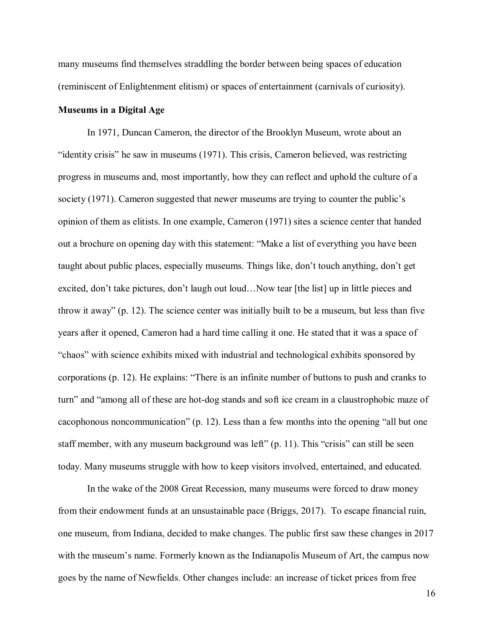many museums find themselves straddling the border between being spaces of education (reminiscent of Enlightenment elitism) or spaces of entertainment (carnivals of curiosity).

#### <span id="page-15-0"></span>**Museums in a Digital Age**

In 1971, Duncan Cameron, the director of the Brooklyn Museum, wrote about an "identity crisis" he saw in museums (1971). This crisis, Cameron believed, was restricting progress in museums and, most importantly, how they can reflect and uphold the culture of a society (1971). Cameron suggested that newer museums are trying to counter the public's opinion of them as elitists. In one example, Cameron (1971) sites a science center that handed out a brochure on opening day with this statement: "Make a list of everything you have been taught about public places, especially museums. Things like, don't touch anything, don't get excited, don't take pictures, don't laugh out loud…Now tear [the list] up in little pieces and throw it away" (p. 12). The science center was initially built to be a museum, but less than five years after it opened, Cameron had a hard time calling it one. He stated that it was a space of "chaos" with science exhibits mixed with industrial and technological exhibits sponsored by corporations (p. 12). He explains: "There is an infinite number of buttons to push and cranks to turn" and "among all of these are hot-dog stands and soft ice cream in a claustrophobic maze of cacophonous noncommunication" (p. 12). Less than a few months into the opening "all but one staff member, with any museum background was left" (p. 11). This "crisis" can still be seen today. Many museums struggle with how to keep visitors involved, entertained, and educated.

In the wake of the 2008 Great Recession, many museums were forced to draw money from their endowment funds at an unsustainable pace (Briggs, 2017). To escape financial ruin, one museum, from Indiana, decided to make changes. The public first saw these changes in 2017 with the museum's name. Formerly known as the Indianapolis Museum of Art, the campus now goes by the name of Newfields. Other changes include: an increase of ticket prices from free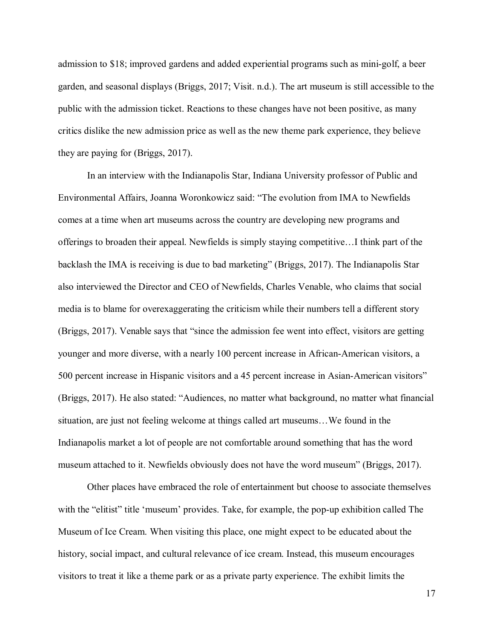admission to \$18; improved gardens and added experiential programs such as mini-golf, a beer garden, and seasonal displays (Briggs, 2017; Visit. n.d.). The art museum is still accessible to the public with the admission ticket. Reactions to these changes have not been positive, as many critics dislike the new admission price as well as the new theme park experience, they believe they are paying for (Briggs, 2017).

In an interview with the Indianapolis Star, Indiana University professor of Public and Environmental Affairs, Joanna Woronkowicz said: "The evolution from IMA to Newfields comes at a time when art museums across the country are developing new programs and offerings to broaden their appeal. Newfields is simply staying competitive…I think part of the backlash the IMA is receiving is due to bad marketing" (Briggs, 2017). The Indianapolis Star also interviewed the Director and CEO of Newfields, Charles Venable, who claims that social media is to blame for overexaggerating the criticism while their numbers tell a different story (Briggs, 2017). Venable says that "since the admission fee went into effect, visitors are getting younger and more diverse, with a nearly 100 percent increase in African-American visitors, a 500 percent increase in Hispanic visitors and a 45 percent increase in Asian-American visitors" (Briggs, 2017). He also stated: "Audiences, no matter what background, no matter what financial situation, are just not feeling welcome at things called art museums…We found in the Indianapolis market a lot of people are not comfortable around something that has the word museum attached to it. Newfields obviously does not have the word museum" (Briggs, 2017).

Other places have embraced the role of entertainment but choose to associate themselves with the "elitist" title 'museum' provides. Take, for example, the pop-up exhibition called The Museum of Ice Cream. When visiting this place, one might expect to be educated about the history, social impact, and cultural relevance of ice cream. Instead, this museum encourages visitors to treat it like a theme park or as a private party experience. The exhibit limits the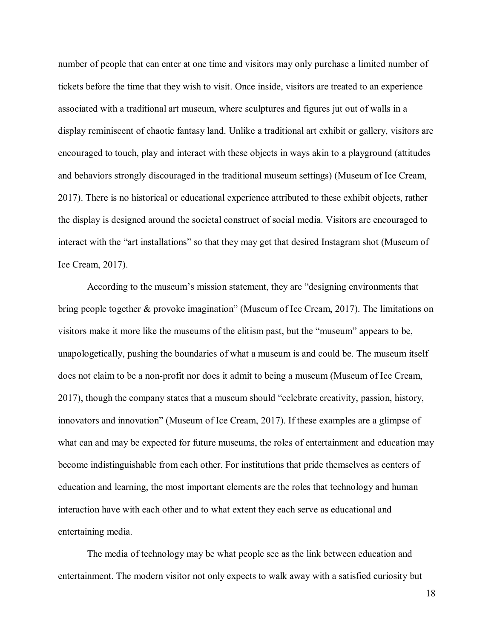number of people that can enter at one time and visitors may only purchase a limited number of tickets before the time that they wish to visit. Once inside, visitors are treated to an experience associated with a traditional art museum, where sculptures and figures jut out of walls in a display reminiscent of chaotic fantasy land. Unlike a traditional art exhibit or gallery, visitors are encouraged to touch, play and interact with these objects in ways akin to a playground (attitudes and behaviors strongly discouraged in the traditional museum settings) (Museum of Ice Cream, 2017). There is no historical or educational experience attributed to these exhibit objects, rather the display is designed around the societal construct of social media. Visitors are encouraged to interact with the "art installations" so that they may get that desired Instagram shot (Museum of Ice Cream, 2017).

According to the museum's mission statement, they are "designing environments that bring people together & provoke imagination" (Museum of Ice Cream, 2017). The limitations on visitors make it more like the museums of the elitism past, but the "museum" appears to be, unapologetically, pushing the boundaries of what a museum is and could be. The museum itself does not claim to be a non-profit nor does it admit to being a museum (Museum of Ice Cream, 2017), though the company states that a museum should "celebrate creativity, passion, history, innovators and innovation" (Museum of Ice Cream, 2017). If these examples are a glimpse of what can and may be expected for future museums, the roles of entertainment and education may become indistinguishable from each other. For institutions that pride themselves as centers of education and learning, the most important elements are the roles that technology and human interaction have with each other and to what extent they each serve as educational and entertaining media.

The media of technology may be what people see as the link between education and entertainment. The modern visitor not only expects to walk away with a satisfied curiosity but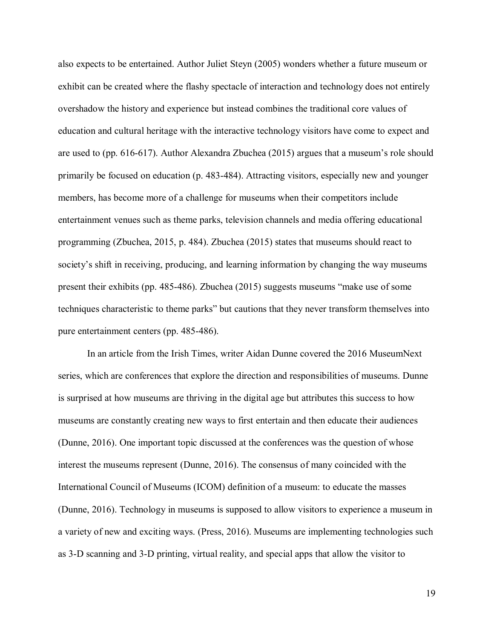also expects to be entertained. Author Juliet Steyn (2005) wonders whether a future museum or exhibit can be created where the flashy spectacle of interaction and technology does not entirely overshadow the history and experience but instead combines the traditional core values of education and cultural heritage with the interactive technology visitors have come to expect and are used to (pp. 616-617). Author Alexandra Zbuchea (2015) argues that a museum's role should primarily be focused on education (p. 483-484). Attracting visitors, especially new and younger members, has become more of a challenge for museums when their competitors include entertainment venues such as theme parks, television channels and media offering educational programming (Zbuchea, 2015, p. 484). Zbuchea (2015) states that museums should react to society's shift in receiving, producing, and learning information by changing the way museums present their exhibits (pp. 485-486). Zbuchea (2015) suggests museums "make use of some techniques characteristic to theme parks" but cautions that they never transform themselves into pure entertainment centers (pp. 485-486).

In an article from the Irish Times, writer Aidan Dunne covered the 2016 MuseumNext series, which are conferences that explore the direction and responsibilities of museums. Dunne is surprised at how museums are thriving in the digital age but attributes this success to how museums are constantly creating new ways to first entertain and then educate their audiences (Dunne, 2016). One important topic discussed at the conferences was the question of whose interest the museums represent (Dunne, 2016). The consensus of many coincided with the International Council of Museums (ICOM) definition of a museum: to educate the masses (Dunne, 2016). Technology in museums is supposed to allow visitors to experience a museum in a variety of new and exciting ways. (Press, 2016). Museums are implementing technologies such as 3-D scanning and 3-D printing, virtual reality, and special apps that allow the visitor to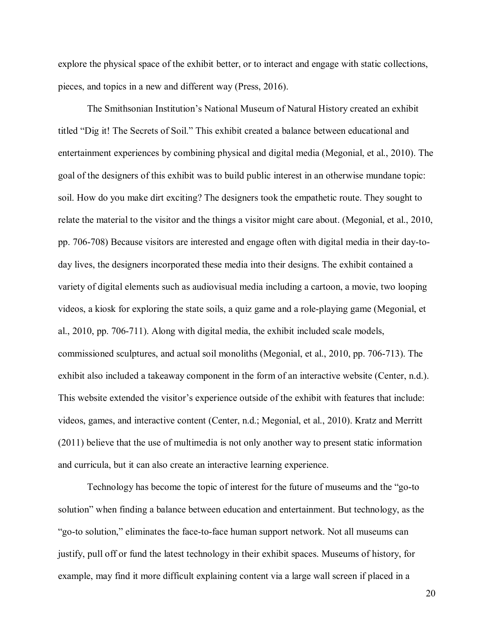explore the physical space of the exhibit better, or to interact and engage with static collections, pieces, and topics in a new and different way (Press, 2016).

The Smithsonian Institution's National Museum of Natural History created an exhibit titled "Dig it! The Secrets of Soil." This exhibit created a balance between educational and entertainment experiences by combining physical and digital media (Megonial, et al., 2010). The goal of the designers of this exhibit was to build public interest in an otherwise mundane topic: soil. How do you make dirt exciting? The designers took the empathetic route. They sought to relate the material to the visitor and the things a visitor might care about. (Megonial, et al., 2010, pp. 706-708) Because visitors are interested and engage often with digital media in their day-today lives, the designers incorporated these media into their designs. The exhibit contained a variety of digital elements such as audiovisual media including a cartoon, a movie, two looping videos, a kiosk for exploring the state soils, a quiz game and a role-playing game (Megonial, et al., 2010, pp. 706-711). Along with digital media, the exhibit included scale models, commissioned sculptures, and actual soil monoliths (Megonial, et al., 2010, pp. 706-713). The exhibit also included a takeaway component in the form of an interactive website (Center, n.d.). This website extended the visitor's experience outside of the exhibit with features that include: videos, games, and interactive content (Center, n.d.; Megonial, et al., 2010). Kratz and Merritt (2011) believe that the use of multimedia is not only another way to present static information and curricula, but it can also create an interactive learning experience.

Technology has become the topic of interest for the future of museums and the "go-to solution" when finding a balance between education and entertainment. But technology, as the "go-to solution," eliminates the face-to-face human support network. Not all museums can justify, pull off or fund the latest technology in their exhibit spaces. Museums of history, for example, may find it more difficult explaining content via a large wall screen if placed in a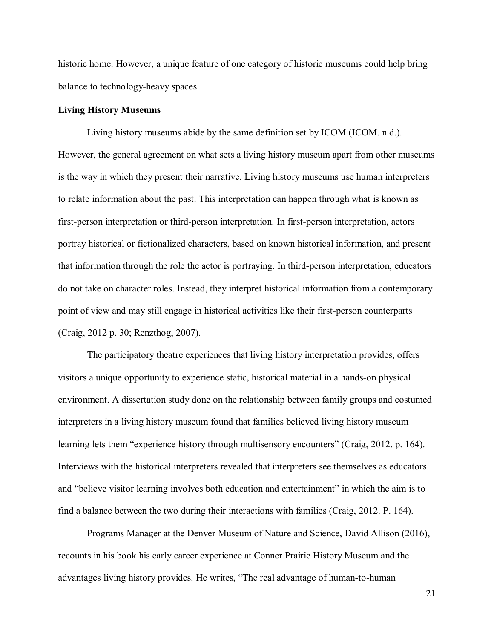historic home. However, a unique feature of one category of historic museums could help bring balance to technology-heavy spaces.

#### <span id="page-20-0"></span>**Living History Museums**

Living history museums abide by the same definition set by ICOM (ICOM. n.d.). However, the general agreement on what sets a living history museum apart from other museums is the way in which they present their narrative. Living history museums use human interpreters to relate information about the past. This interpretation can happen through what is known as first-person interpretation or third-person interpretation. In first-person interpretation, actors portray historical or fictionalized characters, based on known historical information, and present that information through the role the actor is portraying. In third-person interpretation, educators do not take on character roles. Instead, they interpret historical information from a contemporary point of view and may still engage in historical activities like their first-person counterparts (Craig, 2012 p. 30; Renzthog, 2007).

The participatory theatre experiences that living history interpretation provides, offers visitors a unique opportunity to experience static, historical material in a hands-on physical environment. A dissertation study done on the relationship between family groups and costumed interpreters in a living history museum found that families believed living history museum learning lets them "experience history through multisensory encounters" (Craig, 2012. p. 164). Interviews with the historical interpreters revealed that interpreters see themselves as educators and "believe visitor learning involves both education and entertainment" in which the aim is to find a balance between the two during their interactions with families (Craig, 2012. P. 164).

Programs Manager at the Denver Museum of Nature and Science, David Allison (2016), recounts in his book his early career experience at Conner Prairie History Museum and the advantages living history provides. He writes, "The real advantage of human-to-human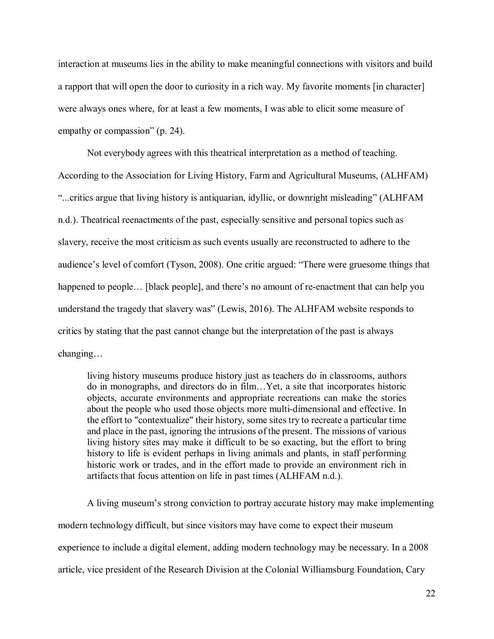interaction at museums lies in the ability to make meaningful connections with visitors and build a rapport that will open the door to curiosity in a rich way. My favorite moments [in character] were always ones where, for at least a few moments, I was able to elicit some measure of empathy or compassion" (p. 24).

Not everybody agrees with this theatrical interpretation as a method of teaching. According to the Association for Living History, Farm and Agricultural Museums, (ALHFAM) "...critics argue that living history is antiquarian, idyllic, or downright misleading" (ALHFAM n.d.). Theatrical reenactments of the past, especially sensitive and personal topics such as slavery, receive the most criticism as such events usually are reconstructed to adhere to the audience's level of comfort (Tyson, 2008). One critic argued: "There were gruesome things that happened to people... [black people], and there's no amount of re-enactment that can help you understand the tragedy that slavery was" (Lewis, 2016). The ALHFAM website responds to critics by stating that the past cannot change but the interpretation of the past is always changing…

living history museums produce history just as teachers do in classrooms, authors do in monographs, and directors do in film…Yet, a site that incorporates historic objects, accurate environments and appropriate recreations can make the stories about the people who used those objects more multi-dimensional and effective. In the effort to "contextualize" their history, some sites try to recreate a particular time and place in the past, ignoring the intrusions of the present. The missions of various living history sites may make it difficult to be so exacting, but the effort to bring history to life is evident perhaps in living animals and plants, in staff performing historic work or trades, and in the effort made to provide an environment rich in artifacts that focus attention on life in past times (ALHFAM n.d.).

A living museum's strong conviction to portray accurate history may make implementing modern technology difficult, but since visitors may have come to expect their museum experience to include a digital element, adding modern technology may be necessary. In a 2008 article, vice president of the Research Division at the Colonial Williamsburg Foundation, Cary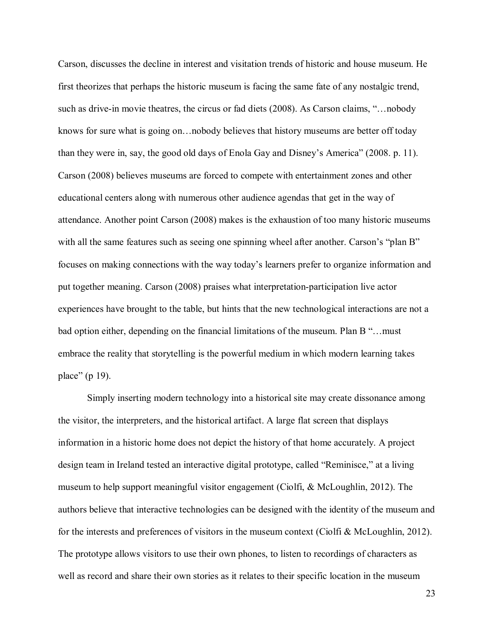Carson, discusses the decline in interest and visitation trends of historic and house museum. He first theorizes that perhaps the historic museum is facing the same fate of any nostalgic trend, such as drive-in movie theatres, the circus or fad diets (2008). As Carson claims, "…nobody knows for sure what is going on…nobody believes that history museums are better off today than they were in, say, the good old days of Enola Gay and Disney's America" (2008. p. 11). Carson (2008) believes museums are forced to compete with entertainment zones and other educational centers along with numerous other audience agendas that get in the way of attendance. Another point Carson (2008) makes is the exhaustion of too many historic museums with all the same features such as seeing one spinning wheel after another. Carson's "plan B" focuses on making connections with the way today's learners prefer to organize information and put together meaning. Carson (2008) praises what interpretation-participation live actor experiences have brought to the table, but hints that the new technological interactions are not a bad option either, depending on the financial limitations of the museum. Plan B "…must embrace the reality that storytelling is the powerful medium in which modern learning takes place" (p 19).

Simply inserting modern technology into a historical site may create dissonance among the visitor, the interpreters, and the historical artifact. A large flat screen that displays information in a historic home does not depict the history of that home accurately. A project design team in Ireland tested an interactive digital prototype, called "Reminisce," at a living museum to help support meaningful visitor engagement (Ciolfi, & McLoughlin, 2012). The authors believe that interactive technologies can be designed with the identity of the museum and for the interests and preferences of visitors in the museum context (Ciolfi & McLoughlin, 2012). The prototype allows visitors to use their own phones, to listen to recordings of characters as well as record and share their own stories as it relates to their specific location in the museum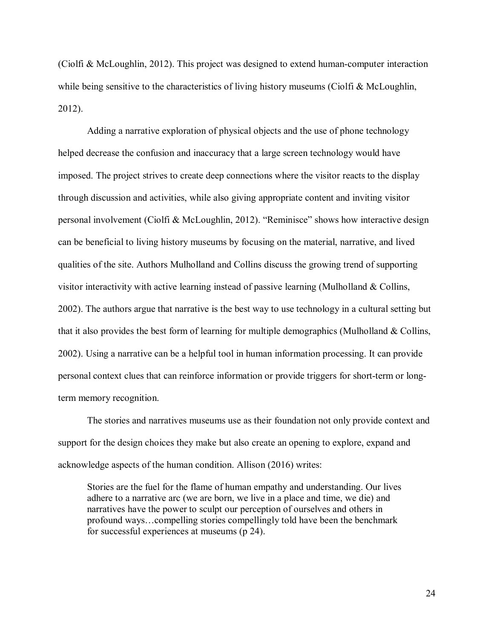(Ciolfi & McLoughlin, 2012). This project was designed to extend human-computer interaction while being sensitive to the characteristics of living history museums (Ciolfi & McLoughlin, 2012).

Adding a narrative exploration of physical objects and the use of phone technology helped decrease the confusion and inaccuracy that a large screen technology would have imposed. The project strives to create deep connections where the visitor reacts to the display through discussion and activities, while also giving appropriate content and inviting visitor personal involvement (Ciolfi & McLoughlin, 2012). "Reminisce" shows how interactive design can be beneficial to living history museums by focusing on the material, narrative, and lived qualities of the site. Authors Mulholland and Collins discuss the growing trend of supporting visitor interactivity with active learning instead of passive learning (Mulholland & Collins, 2002). The authors argue that narrative is the best way to use technology in a cultural setting but that it also provides the best form of learning for multiple demographics (Mulholland & Collins, 2002). Using a narrative can be a helpful tool in human information processing. It can provide personal context clues that can reinforce information or provide triggers for short-term or longterm memory recognition.

The stories and narratives museums use as their foundation not only provide context and support for the design choices they make but also create an opening to explore, expand and acknowledge aspects of the human condition. Allison (2016) writes:

Stories are the fuel for the flame of human empathy and understanding. Our lives adhere to a narrative arc (we are born, we live in a place and time, we die) and narratives have the power to sculpt our perception of ourselves and others in profound ways…compelling stories compellingly told have been the benchmark for successful experiences at museums (p 24).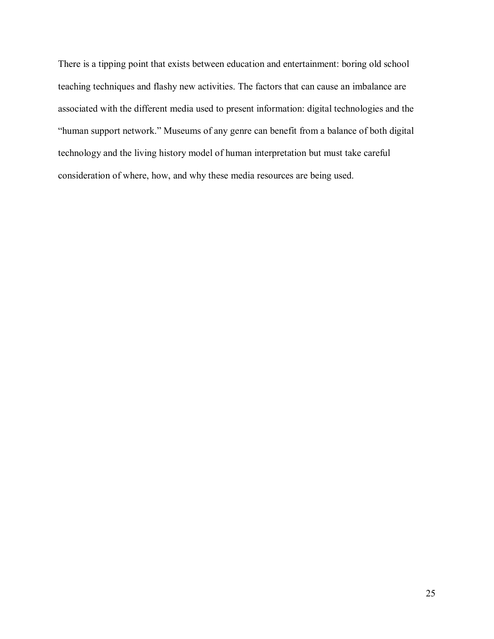There is a tipping point that exists between education and entertainment: boring old school teaching techniques and flashy new activities. The factors that can cause an imbalance are associated with the different media used to present information: digital technologies and the "human support network." Museums of any genre can benefit from a balance of both digital technology and the living history model of human interpretation but must take careful consideration of where, how, and why these media resources are being used.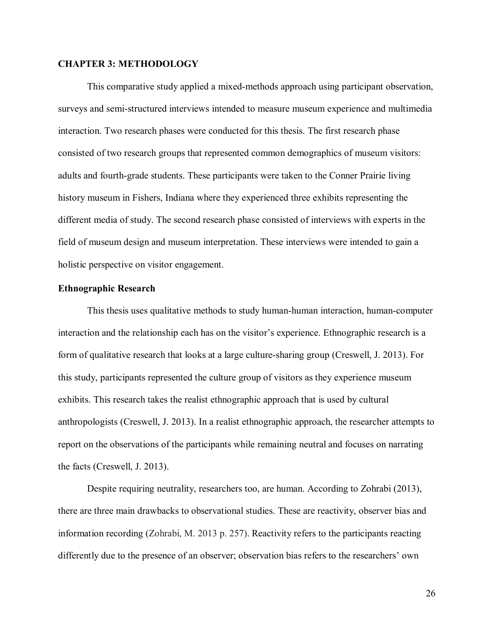#### <span id="page-25-0"></span>**CHAPTER 3: METHODOLOGY**

This comparative study applied a mixed-methods approach using participant observation, surveys and semi-structured interviews intended to measure museum experience and multimedia interaction. Two research phases were conducted for this thesis. The first research phase consisted of two research groups that represented common demographics of museum visitors: adults and fourth-grade students. These participants were taken to the Conner Prairie living history museum in Fishers, Indiana where they experienced three exhibits representing the different media of study. The second research phase consisted of interviews with experts in the field of museum design and museum interpretation. These interviews were intended to gain a holistic perspective on visitor engagement.

#### <span id="page-25-1"></span>**Ethnographic Research**

This thesis uses qualitative methods to study human-human interaction, human-computer interaction and the relationship each has on the visitor's experience. Ethnographic research is a form of qualitative research that looks at a large culture-sharing group (Creswell, J. 2013). For this study, participants represented the culture group of visitors as they experience museum exhibits. This research takes the realist ethnographic approach that is used by cultural anthropologists (Creswell, J. 2013). In a realist ethnographic approach, the researcher attempts to report on the observations of the participants while remaining neutral and focuses on narrating the facts (Creswell, J. 2013).

Despite requiring neutrality, researchers too, are human. According to Zohrabi (2013), there are three main drawbacks to observational studies. These are reactivity, observer bias and information recording (Zohrabi, M. 2013 p. 257). Reactivity refers to the participants reacting differently due to the presence of an observer; observation bias refers to the researchers' own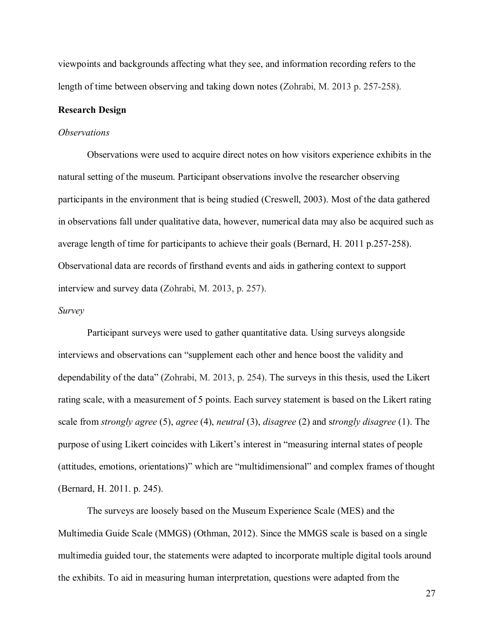viewpoints and backgrounds affecting what they see, and information recording refers to the length of time between observing and taking down notes (Zohrabi, M. 2013 p. 257-258).

#### <span id="page-26-0"></span>**Research Design**

#### *Observations*

Observations were used to acquire direct notes on how visitors experience exhibits in the natural setting of the museum. Participant observations involve the researcher observing participants in the environment that is being studied (Creswell, 2003). Most of the data gathered in observations fall under qualitative data, however, numerical data may also be acquired such as average length of time for participants to achieve their goals (Bernard, H. 2011 p.257-258). Observational data are records of firsthand events and aids in gathering context to support interview and survey data (Zohrabi, M. 2013, p. 257).

#### *Survey*

Participant surveys were used to gather quantitative data. Using surveys alongside interviews and observations can "supplement each other and hence boost the validity and dependability of the data" (Zohrabi, M. 2013, p. 254). The surveys in this thesis, used the Likert rating scale, with a measurement of 5 points. Each survey statement is based on the Likert rating scale from *strongly agree* (5), *agree* (4), *neutral* (3), *disagree* (2) and s*trongly disagree* (1). The purpose of using Likert coincides with Likert's interest in "measuring internal states of people (attitudes, emotions, orientations)" which are "multidimensional" and complex frames of thought (Bernard, H. 2011. p. 245).

The surveys are loosely based on the Museum Experience Scale (MES) and the Multimedia Guide Scale (MMGS) (Othman, 2012). Since the MMGS scale is based on a single multimedia guided tour, the statements were adapted to incorporate multiple digital tools around the exhibits. To aid in measuring human interpretation, questions were adapted from the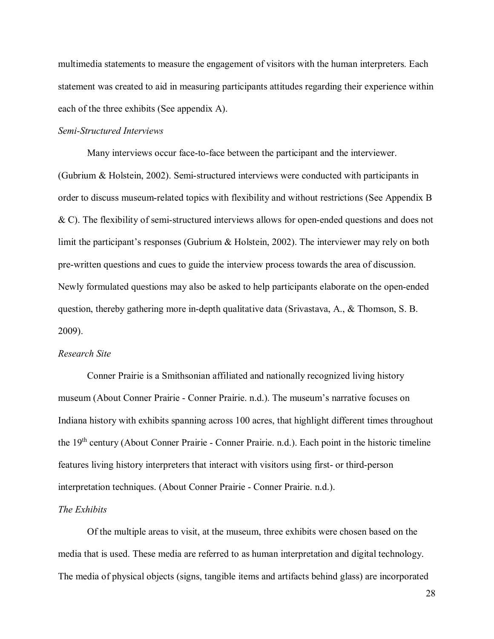multimedia statements to measure the engagement of visitors with the human interpreters. Each statement was created to aid in measuring participants attitudes regarding their experience within each of the three exhibits (See appendix A).

#### *Semi-Structured Interviews*

Many interviews occur face-to-face between the participant and the interviewer. (Gubrium & Holstein, 2002). Semi-structured interviews were conducted with participants in order to discuss museum-related topics with flexibility and without restrictions (See Appendix B & C). The flexibility of semi-structured interviews allows for open-ended questions and does not limit the participant's responses (Gubrium & Holstein, 2002). The interviewer may rely on both pre-written questions and cues to guide the interview process towards the area of discussion. Newly formulated questions may also be asked to help participants elaborate on the open-ended question, thereby gathering more in-depth qualitative data (Srivastava, A., & Thomson, S. B. 2009).

#### *Research Site*

Conner Prairie is a Smithsonian affiliated and nationally recognized living history museum (About Conner Prairie - Conner Prairie. n.d.). The museum's narrative focuses on Indiana history with exhibits spanning across 100 acres, that highlight different times throughout the 19th century (About Conner Prairie - Conner Prairie. n.d.). Each point in the historic timeline features living history interpreters that interact with visitors using first- or third-person interpretation techniques. (About Conner Prairie - Conner Prairie. n.d.).

#### *The Exhibits*

Of the multiple areas to visit, at the museum, three exhibits were chosen based on the media that is used. These media are referred to as human interpretation and digital technology. The media of physical objects (signs, tangible items and artifacts behind glass) are incorporated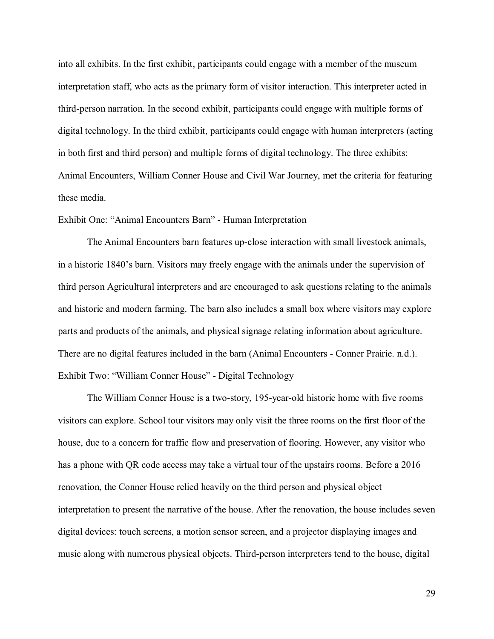into all exhibits. In the first exhibit, participants could engage with a member of the museum interpretation staff, who acts as the primary form of visitor interaction. This interpreter acted in third-person narration. In the second exhibit, participants could engage with multiple forms of digital technology. In the third exhibit, participants could engage with human interpreters (acting in both first and third person) and multiple forms of digital technology. The three exhibits: Animal Encounters, William Conner House and Civil War Journey, met the criteria for featuring these media.

#### Exhibit One: "Animal Encounters Barn" - Human Interpretation

The Animal Encounters barn features up-close interaction with small livestock animals, in a historic 1840's barn. Visitors may freely engage with the animals under the supervision of third person Agricultural interpreters and are encouraged to ask questions relating to the animals and historic and modern farming. The barn also includes a small box where visitors may explore parts and products of the animals, and physical signage relating information about agriculture. There are no digital features included in the barn (Animal Encounters - Conner Prairie. n.d.). Exhibit Two: "William Conner House" - Digital Technology

The William Conner House is a two-story, 195-year-old historic home with five rooms visitors can explore. School tour visitors may only visit the three rooms on the first floor of the house, due to a concern for traffic flow and preservation of flooring. However, any visitor who has a phone with QR code access may take a virtual tour of the upstairs rooms. Before a 2016 renovation, the Conner House relied heavily on the third person and physical object interpretation to present the narrative of the house. After the renovation, the house includes seven digital devices: touch screens, a motion sensor screen, and a projector displaying images and music along with numerous physical objects. Third-person interpreters tend to the house, digital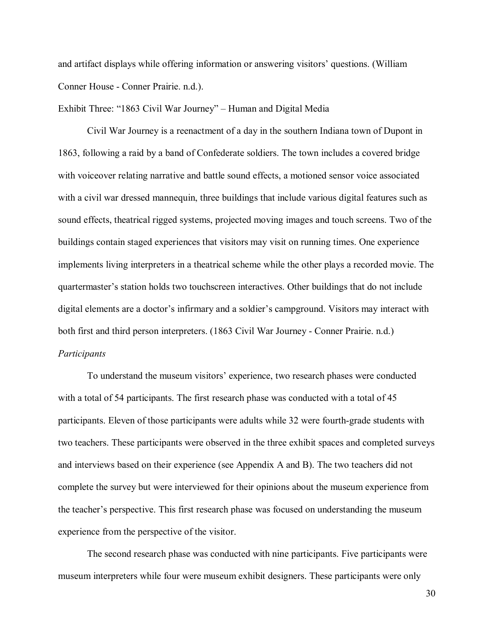and artifact displays while offering information or answering visitors' questions. (William Conner House - Conner Prairie. n.d.).

Exhibit Three: "1863 Civil War Journey" – Human and Digital Media

Civil War Journey is a reenactment of a day in the southern Indiana town of Dupont in 1863, following a raid by a band of Confederate soldiers. The town includes a covered bridge with voiceover relating narrative and battle sound effects, a motioned sensor voice associated with a civil war dressed mannequin, three buildings that include various digital features such as sound effects, theatrical rigged systems, projected moving images and touch screens. Two of the buildings contain staged experiences that visitors may visit on running times. One experience implements living interpreters in a theatrical scheme while the other plays a recorded movie. The quartermaster's station holds two touchscreen interactives. Other buildings that do not include digital elements are a doctor's infirmary and a soldier's campground. Visitors may interact with both first and third person interpreters. (1863 Civil War Journey - Conner Prairie. n.d.) *Participants*

To understand the museum visitors' experience, two research phases were conducted with a total of 54 participants. The first research phase was conducted with a total of 45 participants. Eleven of those participants were adults while 32 were fourth-grade students with two teachers. These participants were observed in the three exhibit spaces and completed surveys and interviews based on their experience (see Appendix A and B). The two teachers did not complete the survey but were interviewed for their opinions about the museum experience from the teacher's perspective. This first research phase was focused on understanding the museum experience from the perspective of the visitor.

The second research phase was conducted with nine participants. Five participants were museum interpreters while four were museum exhibit designers. These participants were only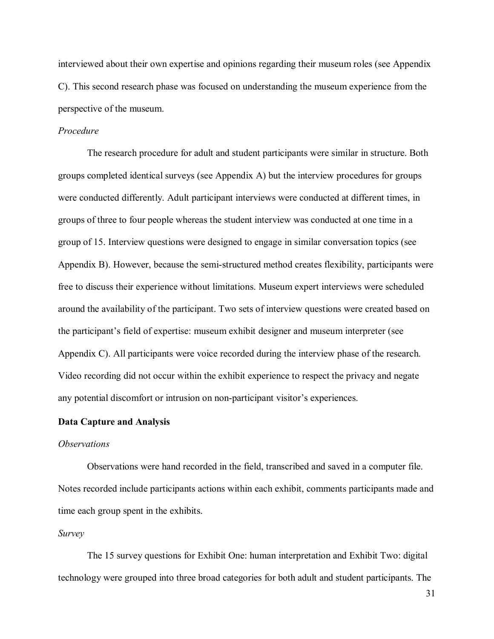interviewed about their own expertise and opinions regarding their museum roles (see Appendix C). This second research phase was focused on understanding the museum experience from the perspective of the museum.

#### *Procedure*

The research procedure for adult and student participants were similar in structure. Both groups completed identical surveys (see Appendix A) but the interview procedures for groups were conducted differently. Adult participant interviews were conducted at different times, in groups of three to four people whereas the student interview was conducted at one time in a group of 15. Interview questions were designed to engage in similar conversation topics (see Appendix B). However, because the semi-structured method creates flexibility, participants were free to discuss their experience without limitations. Museum expert interviews were scheduled around the availability of the participant. Two sets of interview questions were created based on the participant's field of expertise: museum exhibit designer and museum interpreter (see Appendix C). All participants were voice recorded during the interview phase of the research. Video recording did not occur within the exhibit experience to respect the privacy and negate any potential discomfort or intrusion on non-participant visitor's experiences.

#### <span id="page-30-0"></span>**Data Capture and Analysis**

#### *Observations*

Observations were hand recorded in the field, transcribed and saved in a computer file. Notes recorded include participants actions within each exhibit, comments participants made and time each group spent in the exhibits.

#### *Survey*

The 15 survey questions for Exhibit One: human interpretation and Exhibit Two: digital technology were grouped into three broad categories for both adult and student participants. The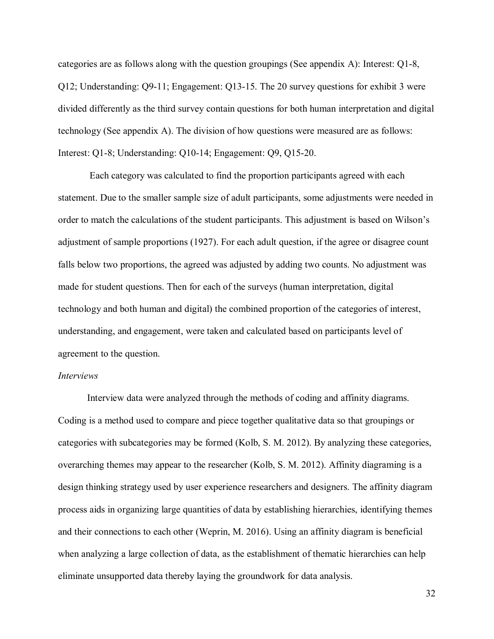categories are as follows along with the question groupings (See appendix A): Interest: Q1-8, Q12; Understanding: Q9-11; Engagement: Q13-15. The 20 survey questions for exhibit 3 were divided differently as the third survey contain questions for both human interpretation and digital technology (See appendix A). The division of how questions were measured are as follows: Interest: Q1-8; Understanding: Q10-14; Engagement: Q9, Q15-20.

Each category was calculated to find the proportion participants agreed with each statement. Due to the smaller sample size of adult participants, some adjustments were needed in order to match the calculations of the student participants. This adjustment is based on Wilson's adjustment of sample proportions (1927). For each adult question, if the agree or disagree count falls below two proportions, the agreed was adjusted by adding two counts. No adjustment was made for student questions. Then for each of the surveys (human interpretation, digital technology and both human and digital) the combined proportion of the categories of interest, understanding, and engagement, were taken and calculated based on participants level of agreement to the question.

#### *Interviews*

Interview data were analyzed through the methods of coding and affinity diagrams. Coding is a method used to compare and piece together qualitative data so that groupings or categories with subcategories may be formed (Kolb, S. M. 2012). By analyzing these categories, overarching themes may appear to the researcher (Kolb, S. M. 2012). Affinity diagraming is a design thinking strategy used by user experience researchers and designers. The affinity diagram process aids in organizing large quantities of data by establishing hierarchies, identifying themes and their connections to each other (Weprin, M. 2016). Using an affinity diagram is beneficial when analyzing a large collection of data, as the establishment of thematic hierarchies can help eliminate unsupported data thereby laying the groundwork for data analysis.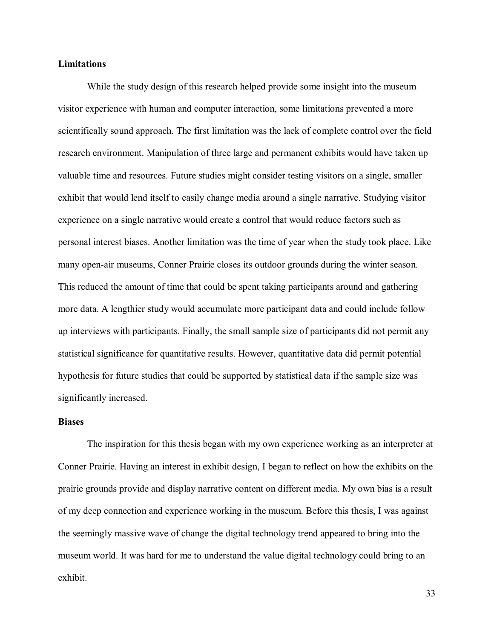#### <span id="page-32-0"></span>**Limitations**

While the study design of this research helped provide some insight into the museum visitor experience with human and computer interaction, some limitations prevented a more scientifically sound approach. The first limitation was the lack of complete control over the field research environment. Manipulation of three large and permanent exhibits would have taken up valuable time and resources. Future studies might consider testing visitors on a single, smaller exhibit that would lend itself to easily change media around a single narrative. Studying visitor experience on a single narrative would create a control that would reduce factors such as personal interest biases. Another limitation was the time of year when the study took place. Like many open-air museums, Conner Prairie closes its outdoor grounds during the winter season. This reduced the amount of time that could be spent taking participants around and gathering more data. A lengthier study would accumulate more participant data and could include follow up interviews with participants. Finally, the small sample size of participants did not permit any statistical significance for quantitative results. However, quantitative data did permit potential hypothesis for future studies that could be supported by statistical data if the sample size was significantly increased.

#### <span id="page-32-1"></span>**Biases**

The inspiration for this thesis began with my own experience working as an interpreter at Conner Prairie. Having an interest in exhibit design, I began to reflect on how the exhibits on the prairie grounds provide and display narrative content on different media. My own bias is a result of my deep connection and experience working in the museum. Before this thesis, I was against the seemingly massive wave of change the digital technology trend appeared to bring into the museum world. It was hard for me to understand the value digital technology could bring to an exhibit.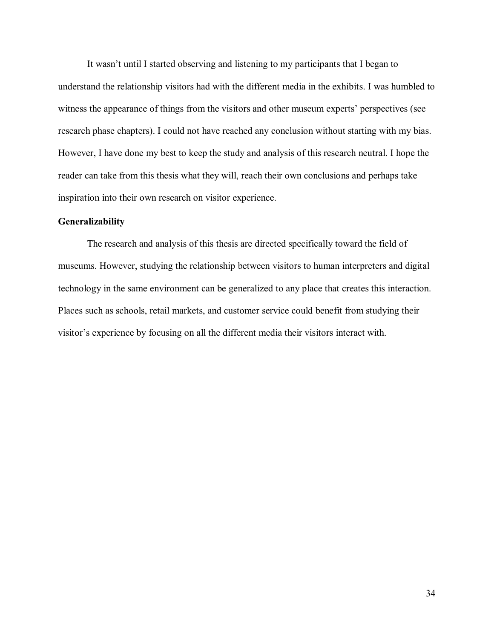It wasn't until I started observing and listening to my participants that I began to understand the relationship visitors had with the different media in the exhibits. I was humbled to witness the appearance of things from the visitors and other museum experts' perspectives (see research phase chapters). I could not have reached any conclusion without starting with my bias. However, I have done my best to keep the study and analysis of this research neutral. I hope the reader can take from this thesis what they will, reach their own conclusions and perhaps take inspiration into their own research on visitor experience.

#### <span id="page-33-0"></span>**Generalizability**

The research and analysis of this thesis are directed specifically toward the field of museums. However, studying the relationship between visitors to human interpreters and digital technology in the same environment can be generalized to any place that creates this interaction. Places such as schools, retail markets, and customer service could benefit from studying their visitor's experience by focusing on all the different media their visitors interact with.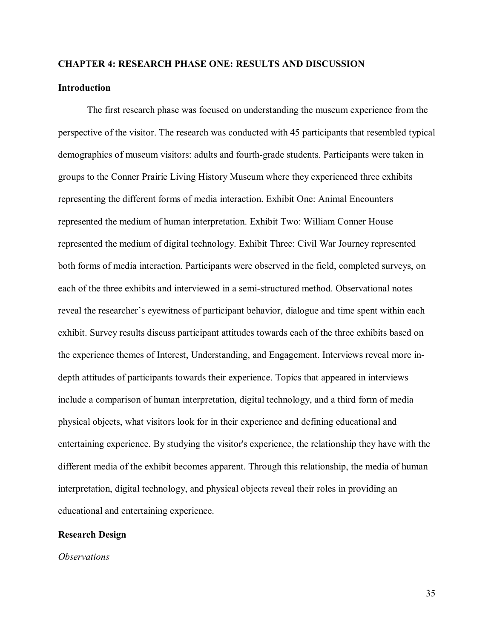#### <span id="page-34-0"></span>**CHAPTER 4: RESEARCH PHASE ONE: RESULTS AND DISCUSSION**

#### <span id="page-34-1"></span>**Introduction**

The first research phase was focused on understanding the museum experience from the perspective of the visitor. The research was conducted with 45 participants that resembled typical demographics of museum visitors: adults and fourth-grade students. Participants were taken in groups to the Conner Prairie Living History Museum where they experienced three exhibits representing the different forms of media interaction. Exhibit One: Animal Encounters represented the medium of human interpretation. Exhibit Two: William Conner House represented the medium of digital technology. Exhibit Three: Civil War Journey represented both forms of media interaction. Participants were observed in the field, completed surveys, on each of the three exhibits and interviewed in a semi-structured method. Observational notes reveal the researcher's eyewitness of participant behavior, dialogue and time spent within each exhibit. Survey results discuss participant attitudes towards each of the three exhibits based on the experience themes of Interest, Understanding, and Engagement. Interviews reveal more indepth attitudes of participants towards their experience. Topics that appeared in interviews include a comparison of human interpretation, digital technology, and a third form of media physical objects, what visitors look for in their experience and defining educational and entertaining experience. By studying the visitor's experience, the relationship they have with the different media of the exhibit becomes apparent. Through this relationship, the media of human interpretation, digital technology, and physical objects reveal their roles in providing an educational and entertaining experience.

#### <span id="page-34-2"></span>**Research Design**

*Observations*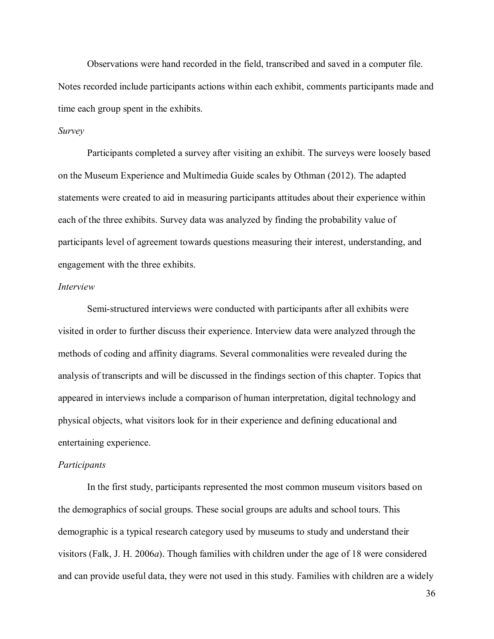Observations were hand recorded in the field, transcribed and saved in a computer file. Notes recorded include participants actions within each exhibit, comments participants made and time each group spent in the exhibits.

#### *Survey*

Participants completed a survey after visiting an exhibit. The surveys were loosely based on the Museum Experience and Multimedia Guide scales by Othman (2012). The adapted statements were created to aid in measuring participants attitudes about their experience within each of the three exhibits. Survey data was analyzed by finding the probability value of participants level of agreement towards questions measuring their interest, understanding, and engagement with the three exhibits.

#### *Interview*

Semi-structured interviews were conducted with participants after all exhibits were visited in order to further discuss their experience. Interview data were analyzed through the methods of coding and affinity diagrams. Several commonalities were revealed during the analysis of transcripts and will be discussed in the findings section of this chapter. Topics that appeared in interviews include a comparison of human interpretation, digital technology and physical objects, what visitors look for in their experience and defining educational and entertaining experience.

#### *Participants*

In the first study, participants represented the most common museum visitors based on the demographics of social groups. These social groups are adults and school tours. This demographic is a typical research category used by museums to study and understand their visitors (Falk, J. H. 2006*a*). Though families with children under the age of 18 were considered and can provide useful data, they were not used in this study. Families with children are a widely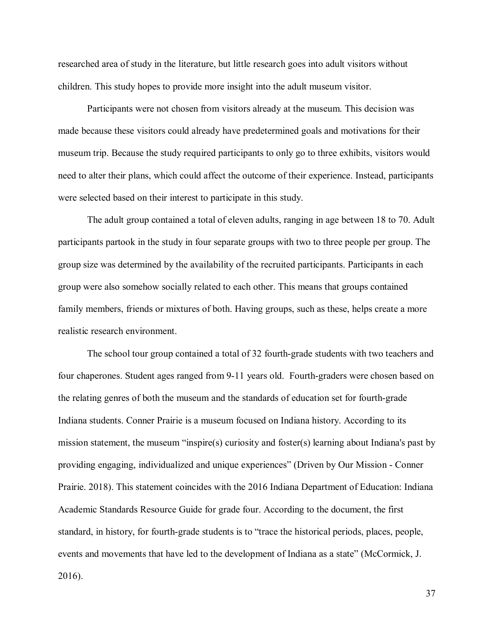researched area of study in the literature, but little research goes into adult visitors without children. This study hopes to provide more insight into the adult museum visitor.

Participants were not chosen from visitors already at the museum. This decision was made because these visitors could already have predetermined goals and motivations for their museum trip. Because the study required participants to only go to three exhibits, visitors would need to alter their plans, which could affect the outcome of their experience. Instead, participants were selected based on their interest to participate in this study.

The adult group contained a total of eleven adults, ranging in age between 18 to 70. Adult participants partook in the study in four separate groups with two to three people per group. The group size was determined by the availability of the recruited participants. Participants in each group were also somehow socially related to each other. This means that groups contained family members, friends or mixtures of both. Having groups, such as these, helps create a more realistic research environment.

The school tour group contained a total of 32 fourth-grade students with two teachers and four chaperones. Student ages ranged from 9-11 years old. Fourth-graders were chosen based on the relating genres of both the museum and the standards of education set for fourth-grade Indiana students. Conner Prairie is a museum focused on Indiana history. According to its mission statement, the museum "inspire(s) curiosity and foster(s) learning about Indiana's past by providing engaging, individualized and unique experiences" (Driven by Our Mission - Conner Prairie. 2018). This statement coincides with the 2016 Indiana Department of Education: Indiana Academic Standards Resource Guide for grade four. According to the document, the first standard, in history, for fourth-grade students is to "trace the historical periods, places, people, events and movements that have led to the development of Indiana as a state" (McCormick, J. 2016).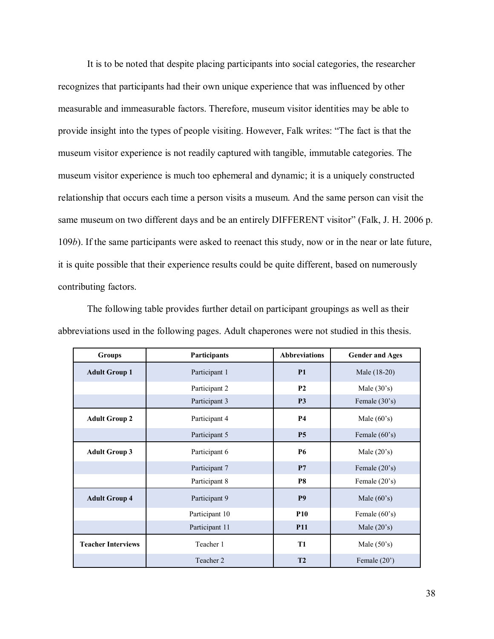It is to be noted that despite placing participants into social categories, the researcher recognizes that participants had their own unique experience that was influenced by other measurable and immeasurable factors. Therefore, museum visitor identities may be able to provide insight into the types of people visiting. However, Falk writes: "The fact is that the museum visitor experience is not readily captured with tangible, immutable categories. The museum visitor experience is much too ephemeral and dynamic; it is a uniquely constructed relationship that occurs each time a person visits a museum. And the same person can visit the same museum on two different days and be an entirely DIFFERENT visitor" (Falk, J. H. 2006 p. 109*b*). If the same participants were asked to reenact this study, now or in the near or late future, it is quite possible that their experience results could be quite different, based on numerously contributing factors.

| <b>Groups</b>             | Participants   | <b>Abbreviations</b><br><b>Gender and Ages</b> |                 |  |  |
|---------------------------|----------------|------------------------------------------------|-----------------|--|--|
| <b>Adult Group 1</b>      | Participant 1  | P <sub>1</sub>                                 | Male (18-20)    |  |  |
|                           | Participant 2  | P <sub>2</sub>                                 | Male $(30's)$   |  |  |
|                           | Participant 3  | P <sub>3</sub><br>Female (30's)                |                 |  |  |
| <b>Adult Group 2</b>      | Participant 4  | <b>P4</b><br>Male $(60's)$                     |                 |  |  |
|                           | Participant 5  | <b>P5</b><br>Female (60's)                     |                 |  |  |
| <b>Adult Group 3</b>      | Participant 6  | <b>P6</b><br>Male $(20's)$                     |                 |  |  |
|                           | Participant 7  | P7                                             | Female $(20's)$ |  |  |
|                           | Participant 8  | <b>P8</b><br>Female (20's)                     |                 |  |  |
| <b>Adult Group 4</b>      | Participant 9  | P <sub>9</sub><br>Male $(60's)$                |                 |  |  |
|                           | Participant 10 | <b>P10</b><br>Female $(60's)$                  |                 |  |  |
|                           | Participant 11 | <b>P11</b>                                     | Male $(20's)$   |  |  |
| <b>Teacher Interviews</b> | Teacher 1      | <b>T1</b><br>Male $(50's)$                     |                 |  |  |
|                           | Teacher 2      | T <sub>2</sub><br>Female (20')                 |                 |  |  |

The following table provides further detail on participant groupings as well as their abbreviations used in the following pages. Adult chaperones were not studied in this thesis.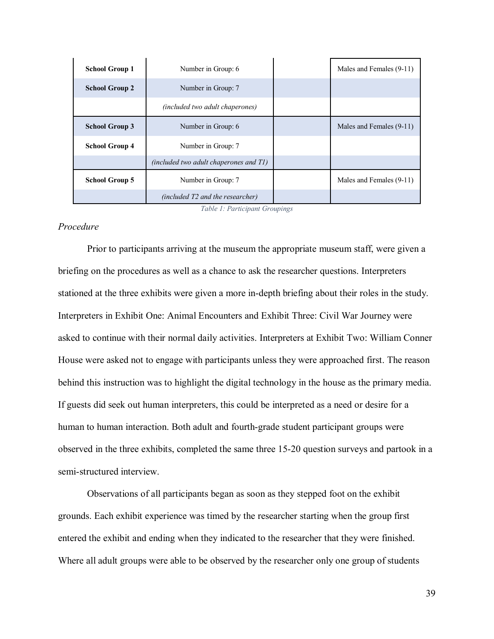| <b>School Group 1</b> | Number in Group: 6                            |                          | Males and Females (9-11) |  |
|-----------------------|-----------------------------------------------|--------------------------|--------------------------|--|
| <b>School Group 2</b> | Number in Group: 7                            |                          |                          |  |
|                       | <i>(included two adult chaperones)</i>        |                          |                          |  |
| <b>School Group 3</b> | Number in Group: 6                            |                          | Males and Females (9-11) |  |
| <b>School Group 4</b> | Number in Group: 7                            |                          |                          |  |
|                       | <i>(included two adult chaperones and T1)</i> |                          |                          |  |
| <b>School Group 5</b> | Number in Group: 7                            | Males and Females (9-11) |                          |  |
|                       | (included T2 and the researcher)              |                          |                          |  |

*Table 1: Participant Groupings*

## *Procedure*

Prior to participants arriving at the museum the appropriate museum staff, were given a briefing on the procedures as well as a chance to ask the researcher questions. Interpreters stationed at the three exhibits were given a more in-depth briefing about their roles in the study. Interpreters in Exhibit One: Animal Encounters and Exhibit Three: Civil War Journey were asked to continue with their normal daily activities. Interpreters at Exhibit Two: William Conner House were asked not to engage with participants unless they were approached first. The reason behind this instruction was to highlight the digital technology in the house as the primary media. If guests did seek out human interpreters, this could be interpreted as a need or desire for a human to human interaction. Both adult and fourth-grade student participant groups were observed in the three exhibits, completed the same three 15-20 question surveys and partook in a semi-structured interview.

Observations of all participants began as soon as they stepped foot on the exhibit grounds. Each exhibit experience was timed by the researcher starting when the group first entered the exhibit and ending when they indicated to the researcher that they were finished. Where all adult groups were able to be observed by the researcher only one group of students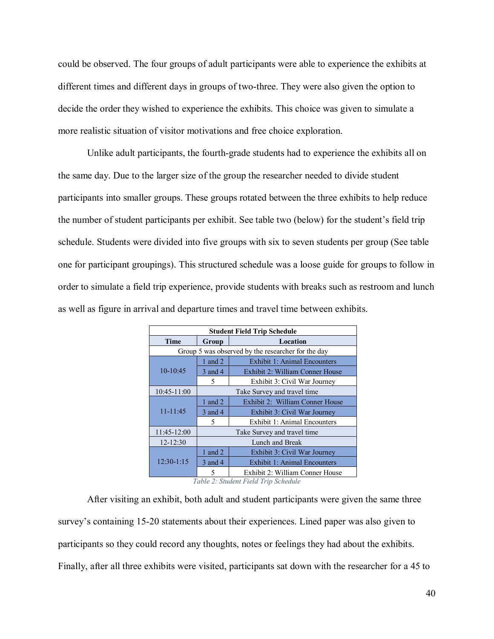could be observed. The four groups of adult participants were able to experience the exhibits at different times and different days in groups of two-three. They were also given the option to decide the order they wished to experience the exhibits. This choice was given to simulate a more realistic situation of visitor motivations and free choice exploration.

Unlike adult participants, the fourth-grade students had to experience the exhibits all on the same day. Due to the larger size of the group the researcher needed to divide student participants into smaller groups. These groups rotated between the three exhibits to help reduce the number of student participants per exhibit. See table two (below) for the student's field trip schedule. Students were divided into five groups with six to seven students per group (See table one for participant groupings). This structured schedule was a loose guide for groups to follow in order to simulate a field trip experience, provide students with breaks such as restroom and lunch as well as figure in arrival and departure times and travel time between exhibits.

| <b>Student Field Trip Schedule</b>                 |                             |                                     |  |  |
|----------------------------------------------------|-----------------------------|-------------------------------------|--|--|
| <b>Time</b>                                        | Location<br>Group           |                                     |  |  |
| Group 5 was observed by the researcher for the day |                             |                                     |  |  |
| $10-10:45$                                         | 1 and $2$                   | <b>Exhibit 1: Animal Encounters</b> |  |  |
|                                                    | 3 and 4                     | Exhibit 2: William Conner House     |  |  |
|                                                    | 5                           | Exhibit 3: Civil War Journey        |  |  |
| 10:45-11:00                                        | Take Survey and travel time |                                     |  |  |
| $11 - 11:45$                                       | 1 and 2                     | Exhibit 2: William Conner House     |  |  |
|                                                    | 3 and 4                     | Exhibit 3: Civil War Journey        |  |  |
|                                                    | 5                           | Exhibit 1: Animal Encounters        |  |  |
| 11:45-12:00                                        | Take Survey and travel time |                                     |  |  |
| 12-12:30                                           | Lunch and Break             |                                     |  |  |
| $12:30-1:15$                                       | 1 and 2                     | Exhibit 3: Civil War Journey        |  |  |
|                                                    | 3 and 4                     | <b>Exhibit 1: Animal Encounters</b> |  |  |
|                                                    |                             | Exhibit 2: William Conner House     |  |  |

*Table 2: Student Field Trip Schedule*

After visiting an exhibit, both adult and student participants were given the same three survey's containing 15-20 statements about their experiences. Lined paper was also given to participants so they could record any thoughts, notes or feelings they had about the exhibits. Finally, after all three exhibits were visited, participants sat down with the researcher for a 45 to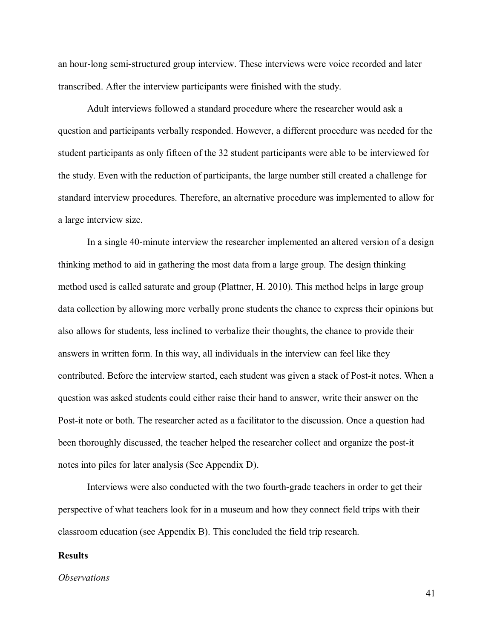an hour-long semi-structured group interview. These interviews were voice recorded and later transcribed. After the interview participants were finished with the study.

Adult interviews followed a standard procedure where the researcher would ask a question and participants verbally responded. However, a different procedure was needed for the student participants as only fifteen of the 32 student participants were able to be interviewed for the study. Even with the reduction of participants, the large number still created a challenge for standard interview procedures. Therefore, an alternative procedure was implemented to allow for a large interview size.

In a single 40-minute interview the researcher implemented an altered version of a design thinking method to aid in gathering the most data from a large group. The design thinking method used is called saturate and group (Plattner, H. 2010). This method helps in large group data collection by allowing more verbally prone students the chance to express their opinions but also allows for students, less inclined to verbalize their thoughts, the chance to provide their answers in written form. In this way, all individuals in the interview can feel like they contributed. Before the interview started, each student was given a stack of Post-it notes. When a question was asked students could either raise their hand to answer, write their answer on the Post-it note or both. The researcher acted as a facilitator to the discussion. Once a question had been thoroughly discussed, the teacher helped the researcher collect and organize the post-it notes into piles for later analysis (See Appendix D).

Interviews were also conducted with the two fourth-grade teachers in order to get their perspective of what teachers look for in a museum and how they connect field trips with their classroom education (see Appendix B). This concluded the field trip research.

#### **Results**

#### *Observations*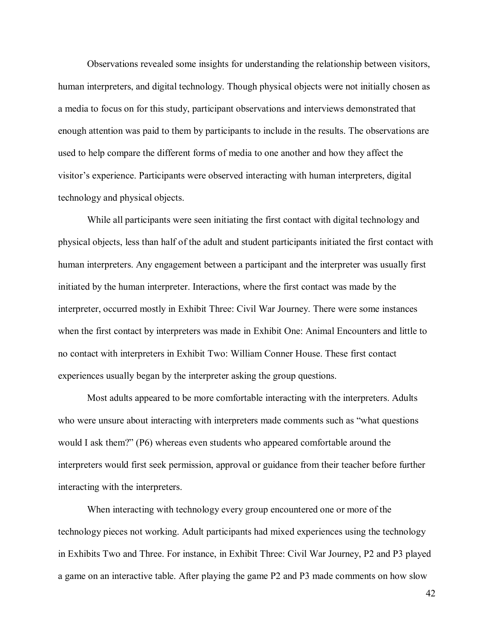Observations revealed some insights for understanding the relationship between visitors, human interpreters, and digital technology. Though physical objects were not initially chosen as a media to focus on for this study, participant observations and interviews demonstrated that enough attention was paid to them by participants to include in the results. The observations are used to help compare the different forms of media to one another and how they affect the visitor's experience. Participants were observed interacting with human interpreters, digital technology and physical objects.

While all participants were seen initiating the first contact with digital technology and physical objects, less than half of the adult and student participants initiated the first contact with human interpreters. Any engagement between a participant and the interpreter was usually first initiated by the human interpreter. Interactions, where the first contact was made by the interpreter, occurred mostly in Exhibit Three: Civil War Journey. There were some instances when the first contact by interpreters was made in Exhibit One: Animal Encounters and little to no contact with interpreters in Exhibit Two: William Conner House. These first contact experiences usually began by the interpreter asking the group questions.

Most adults appeared to be more comfortable interacting with the interpreters. Adults who were unsure about interacting with interpreters made comments such as "what questions would I ask them?" (P6) whereas even students who appeared comfortable around the interpreters would first seek permission, approval or guidance from their teacher before further interacting with the interpreters.

When interacting with technology every group encountered one or more of the technology pieces not working. Adult participants had mixed experiences using the technology in Exhibits Two and Three. For instance, in Exhibit Three: Civil War Journey, P2 and P3 played a game on an interactive table. After playing the game P2 and P3 made comments on how slow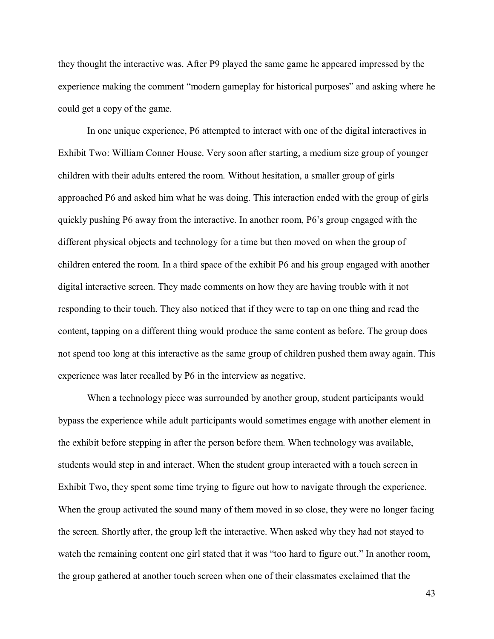they thought the interactive was. After P9 played the same game he appeared impressed by the experience making the comment "modern gameplay for historical purposes" and asking where he could get a copy of the game.

In one unique experience, P6 attempted to interact with one of the digital interactives in Exhibit Two: William Conner House. Very soon after starting, a medium size group of younger children with their adults entered the room. Without hesitation, a smaller group of girls approached P6 and asked him what he was doing. This interaction ended with the group of girls quickly pushing P6 away from the interactive. In another room, P6's group engaged with the different physical objects and technology for a time but then moved on when the group of children entered the room. In a third space of the exhibit P6 and his group engaged with another digital interactive screen. They made comments on how they are having trouble with it not responding to their touch. They also noticed that if they were to tap on one thing and read the content, tapping on a different thing would produce the same content as before. The group does not spend too long at this interactive as the same group of children pushed them away again. This experience was later recalled by P6 in the interview as negative.

When a technology piece was surrounded by another group, student participants would bypass the experience while adult participants would sometimes engage with another element in the exhibit before stepping in after the person before them. When technology was available, students would step in and interact. When the student group interacted with a touch screen in Exhibit Two, they spent some time trying to figure out how to navigate through the experience. When the group activated the sound many of them moved in so close, they were no longer facing the screen. Shortly after, the group left the interactive. When asked why they had not stayed to watch the remaining content one girl stated that it was "too hard to figure out." In another room, the group gathered at another touch screen when one of their classmates exclaimed that the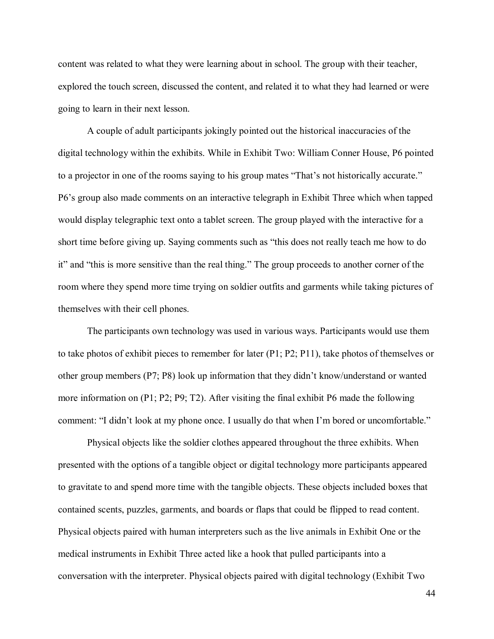content was related to what they were learning about in school. The group with their teacher, explored the touch screen, discussed the content, and related it to what they had learned or were going to learn in their next lesson.

A couple of adult participants jokingly pointed out the historical inaccuracies of the digital technology within the exhibits. While in Exhibit Two: William Conner House, P6 pointed to a projector in one of the rooms saying to his group mates "That's not historically accurate." P6's group also made comments on an interactive telegraph in Exhibit Three which when tapped would display telegraphic text onto a tablet screen. The group played with the interactive for a short time before giving up. Saying comments such as "this does not really teach me how to do it" and "this is more sensitive than the real thing." The group proceeds to another corner of the room where they spend more time trying on soldier outfits and garments while taking pictures of themselves with their cell phones.

The participants own technology was used in various ways. Participants would use them to take photos of exhibit pieces to remember for later (P1; P2; P11), take photos of themselves or other group members (P7; P8) look up information that they didn't know/understand or wanted more information on (P1; P2; P9; T2). After visiting the final exhibit P6 made the following comment: "I didn't look at my phone once. I usually do that when I'm bored or uncomfortable."

Physical objects like the soldier clothes appeared throughout the three exhibits. When presented with the options of a tangible object or digital technology more participants appeared to gravitate to and spend more time with the tangible objects. These objects included boxes that contained scents, puzzles, garments, and boards or flaps that could be flipped to read content. Physical objects paired with human interpreters such as the live animals in Exhibit One or the medical instruments in Exhibit Three acted like a hook that pulled participants into a conversation with the interpreter. Physical objects paired with digital technology (Exhibit Two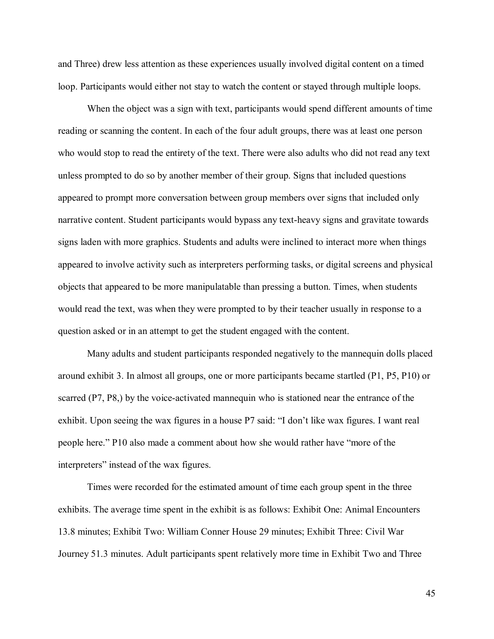and Three) drew less attention as these experiences usually involved digital content on a timed loop. Participants would either not stay to watch the content or stayed through multiple loops.

When the object was a sign with text, participants would spend different amounts of time reading or scanning the content. In each of the four adult groups, there was at least one person who would stop to read the entirety of the text. There were also adults who did not read any text unless prompted to do so by another member of their group. Signs that included questions appeared to prompt more conversation between group members over signs that included only narrative content. Student participants would bypass any text-heavy signs and gravitate towards signs laden with more graphics. Students and adults were inclined to interact more when things appeared to involve activity such as interpreters performing tasks, or digital screens and physical objects that appeared to be more manipulatable than pressing a button. Times, when students would read the text, was when they were prompted to by their teacher usually in response to a question asked or in an attempt to get the student engaged with the content.

Many adults and student participants responded negatively to the mannequin dolls placed around exhibit 3. In almost all groups, one or more participants became startled (P1, P5, P10) or scarred (P7, P8,) by the voice-activated mannequin who is stationed near the entrance of the exhibit. Upon seeing the wax figures in a house P7 said: "I don't like wax figures. I want real people here." P10 also made a comment about how she would rather have "more of the interpreters" instead of the wax figures.

Times were recorded for the estimated amount of time each group spent in the three exhibits. The average time spent in the exhibit is as follows: Exhibit One: Animal Encounters 13.8 minutes; Exhibit Two: William Conner House 29 minutes; Exhibit Three: Civil War Journey 51.3 minutes. Adult participants spent relatively more time in Exhibit Two and Three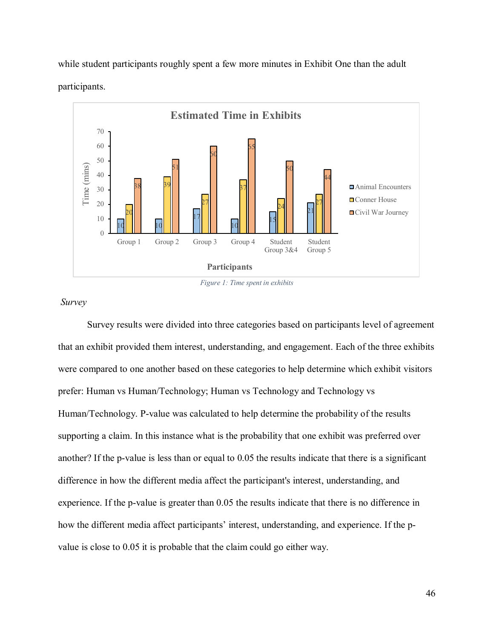while student participants roughly spent a few more minutes in Exhibit One than the adult participants.





*Survey* 

Survey results were divided into three categories based on participants level of agreement that an exhibit provided them interest, understanding, and engagement. Each of the three exhibits were compared to one another based on these categories to help determine which exhibit visitors prefer: Human vs Human/Technology; Human vs Technology and Technology vs Human/Technology. P-value was calculated to help determine the probability of the results supporting a claim. In this instance what is the probability that one exhibit was preferred over another? If the p-value is less than or equal to 0.05 the results indicate that there is a significant difference in how the different media affect the participant's interest, understanding, and experience. If the p-value is greater than 0.05 the results indicate that there is no difference in how the different media affect participants' interest, understanding, and experience. If the pvalue is close to 0.05 it is probable that the claim could go either way.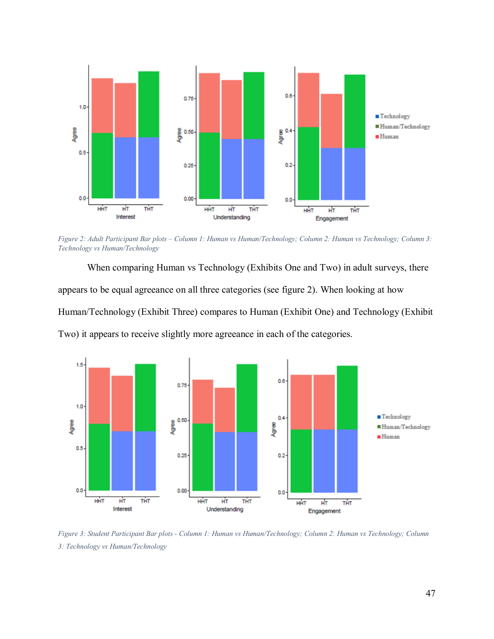

*Figure 2: Adult Participant Bar plots – Column 1: Human vs Human/Technology; Column 2: Human vs Technology; Column 3: Technology vs Human/Technology*

When comparing Human vs Technology (Exhibits One and Two) in adult surveys, there appears to be equal agreeance on all three categories (see figure 2). When looking at how Human/Technology (Exhibit Three) compares to Human (Exhibit One) and Technology (Exhibit Two) it appears to receive slightly more agreeance in each of the categories.



*Figure 3: Student Participant Bar plots - Column 1: Human vs Human/Technology; Column 2: Human vs Technology; Column 3: Technology vs Human/Technology*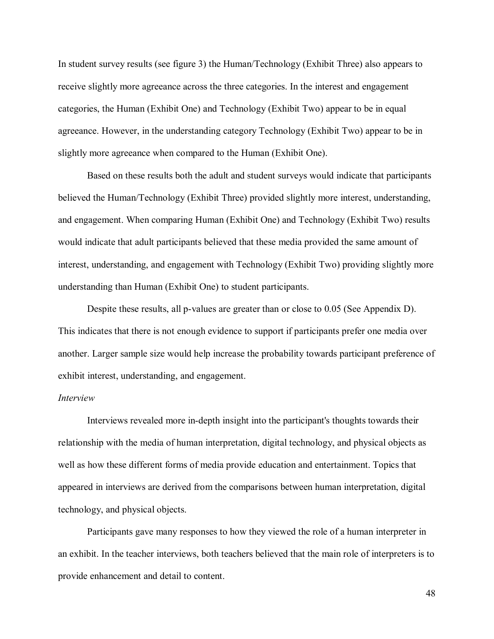In student survey results (see figure 3) the Human/Technology (Exhibit Three) also appears to receive slightly more agreeance across the three categories. In the interest and engagement categories, the Human (Exhibit One) and Technology (Exhibit Two) appear to be in equal agreeance. However, in the understanding category Technology (Exhibit Two) appear to be in slightly more agreeance when compared to the Human (Exhibit One).

Based on these results both the adult and student surveys would indicate that participants believed the Human/Technology (Exhibit Three) provided slightly more interest, understanding, and engagement. When comparing Human (Exhibit One) and Technology (Exhibit Two) results would indicate that adult participants believed that these media provided the same amount of interest, understanding, and engagement with Technology (Exhibit Two) providing slightly more understanding than Human (Exhibit One) to student participants.

Despite these results, all p-values are greater than or close to 0.05 (See Appendix D). This indicates that there is not enough evidence to support if participants prefer one media over another. Larger sample size would help increase the probability towards participant preference of exhibit interest, understanding, and engagement.

#### *Interview*

Interviews revealed more in-depth insight into the participant's thoughts towards their relationship with the media of human interpretation, digital technology, and physical objects as well as how these different forms of media provide education and entertainment. Topics that appeared in interviews are derived from the comparisons between human interpretation, digital technology, and physical objects.

Participants gave many responses to how they viewed the role of a human interpreter in an exhibit. In the teacher interviews, both teachers believed that the main role of interpreters is to provide enhancement and detail to content.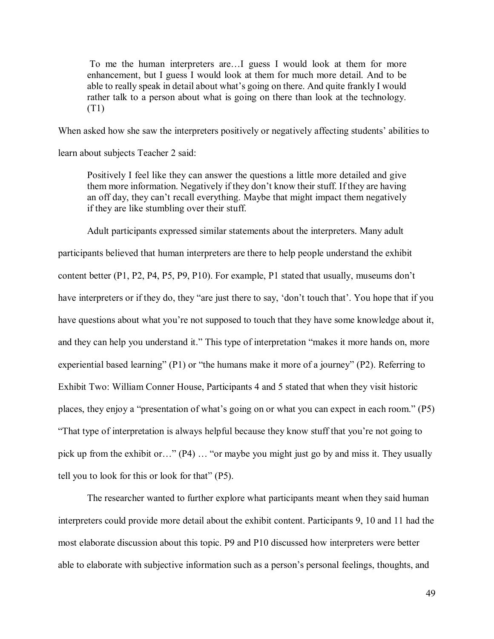To me the human interpreters are…I guess I would look at them for more enhancement, but I guess I would look at them for much more detail. And to be able to really speak in detail about what's going on there. And quite frankly I would rather talk to a person about what is going on there than look at the technology. (T1)

When asked how she saw the interpreters positively or negatively affecting students' abilities to

learn about subjects Teacher 2 said:

Positively I feel like they can answer the questions a little more detailed and give them more information. Negatively if they don't know their stuff. If they are having an off day, they can't recall everything. Maybe that might impact them negatively if they are like stumbling over their stuff.

Adult participants expressed similar statements about the interpreters. Many adult

participants believed that human interpreters are there to help people understand the exhibit content better (P1, P2, P4, P5, P9, P10). For example, P1 stated that usually, museums don't have interpreters or if they do, they "are just there to say, 'don't touch that'. You hope that if you have questions about what you're not supposed to touch that they have some knowledge about it, and they can help you understand it." This type of interpretation "makes it more hands on, more experiential based learning" (P1) or "the humans make it more of a journey" (P2). Referring to Exhibit Two: William Conner House, Participants 4 and 5 stated that when they visit historic places, they enjoy a "presentation of what's going on or what you can expect in each room." (P5) "That type of interpretation is always helpful because they know stuff that you're not going to pick up from the exhibit or…" (P4) … "or maybe you might just go by and miss it. They usually tell you to look for this or look for that" (P5).

The researcher wanted to further explore what participants meant when they said human interpreters could provide more detail about the exhibit content. Participants 9, 10 and 11 had the most elaborate discussion about this topic. P9 and P10 discussed how interpreters were better able to elaborate with subjective information such as a person's personal feelings, thoughts, and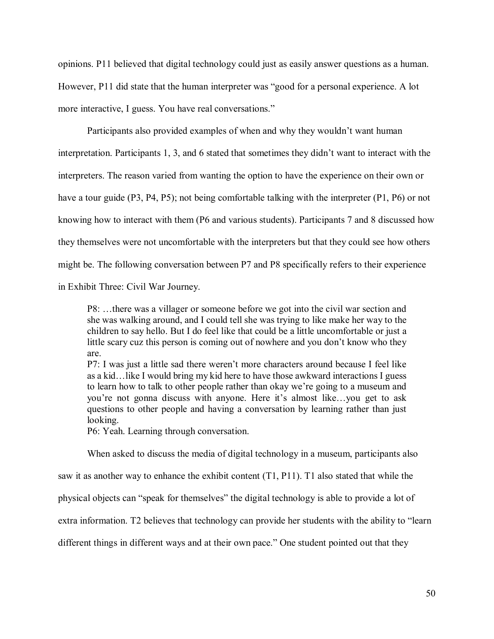opinions. P11 believed that digital technology could just as easily answer questions as a human. However, P11 did state that the human interpreter was "good for a personal experience. A lot more interactive, I guess. You have real conversations."

Participants also provided examples of when and why they wouldn't want human interpretation. Participants 1, 3, and 6 stated that sometimes they didn't want to interact with the interpreters. The reason varied from wanting the option to have the experience on their own or have a tour guide (P3, P4, P5); not being comfortable talking with the interpreter (P1, P6) or not knowing how to interact with them (P6 and various students). Participants 7 and 8 discussed how they themselves were not uncomfortable with the interpreters but that they could see how others might be. The following conversation between P7 and P8 specifically refers to their experience in Exhibit Three: Civil War Journey.

P8: …there was a villager or someone before we got into the civil war section and she was walking around, and I could tell she was trying to like make her way to the children to say hello. But I do feel like that could be a little uncomfortable or just a little scary cuz this person is coming out of nowhere and you don't know who they are.

P7: I was just a little sad there weren't more characters around because I feel like as a kid…like I would bring my kid here to have those awkward interactions I guess to learn how to talk to other people rather than okay we're going to a museum and you're not gonna discuss with anyone. Here it's almost like…you get to ask questions to other people and having a conversation by learning rather than just looking.

P6: Yeah. Learning through conversation.

When asked to discuss the media of digital technology in a museum, participants also

saw it as another way to enhance the exhibit content (T1, P11). T1 also stated that while the

physical objects can "speak for themselves" the digital technology is able to provide a lot of

extra information. T2 believes that technology can provide her students with the ability to "learn

different things in different ways and at their own pace." One student pointed out that they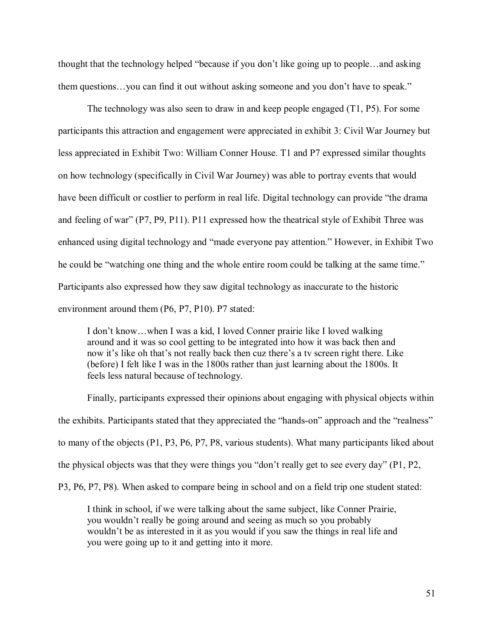thought that the technology helped "because if you don't like going up to people…and asking them questions…you can find it out without asking someone and you don't have to speak."

The technology was also seen to draw in and keep people engaged (T1, P5). For some participants this attraction and engagement were appreciated in exhibit 3: Civil War Journey but less appreciated in Exhibit Two: William Conner House. T1 and P7 expressed similar thoughts on how technology (specifically in Civil War Journey) was able to portray events that would have been difficult or costlier to perform in real life. Digital technology can provide "the drama and feeling of war" (P7, P9, P11). P11 expressed how the theatrical style of Exhibit Three was enhanced using digital technology and "made everyone pay attention." However, in Exhibit Two he could be "watching one thing and the whole entire room could be talking at the same time." Participants also expressed how they saw digital technology as inaccurate to the historic environment around them (P6, P7, P10). P7 stated:

I don't know…when I was a kid, I loved Conner prairie like I loved walking around and it was so cool getting to be integrated into how it was back then and now it's like oh that's not really back then cuz there's a tv screen right there. Like (before) I felt like I was in the 1800s rather than just learning about the 1800s. It feels less natural because of technology.

Finally, participants expressed their opinions about engaging with physical objects within the exhibits. Participants stated that they appreciated the "hands-on" approach and the "realness" to many of the objects (P1, P3, P6, P7, P8, various students). What many participants liked about the physical objects was that they were things you "don't really get to see every day" (P1, P2, P3, P6, P7, P8). When asked to compare being in school and on a field trip one student stated:

I think in school, if we were talking about the same subject, like Conner Prairie, you wouldn't really be going around and seeing as much so you probably wouldn't be as interested in it as you would if you saw the things in real life and you were going up to it and getting into it more.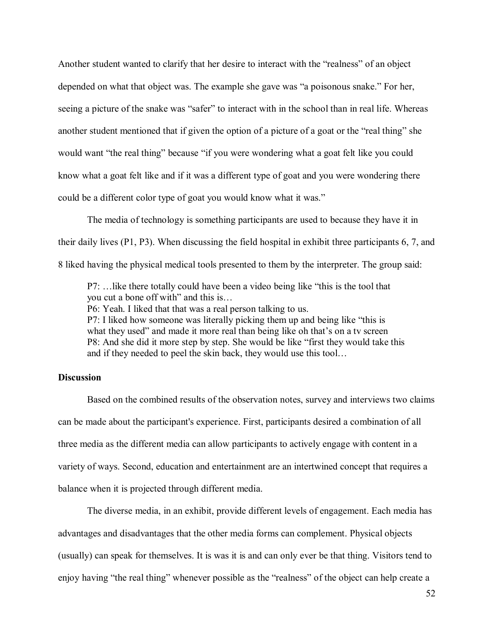Another student wanted to clarify that her desire to interact with the "realness" of an object depended on what that object was. The example she gave was "a poisonous snake." For her, seeing a picture of the snake was "safer" to interact with in the school than in real life. Whereas another student mentioned that if given the option of a picture of a goat or the "real thing" she would want "the real thing" because "if you were wondering what a goat felt like you could know what a goat felt like and if it was a different type of goat and you were wondering there could be a different color type of goat you would know what it was."

The media of technology is something participants are used to because they have it in their daily lives (P1, P3). When discussing the field hospital in exhibit three participants 6, 7, and 8 liked having the physical medical tools presented to them by the interpreter. The group said:

P7: …like there totally could have been a video being like "this is the tool that you cut a bone off with" and this is…

P6: Yeah. I liked that that was a real person talking to us.

P7: I liked how someone was literally picking them up and being like "this is what they used" and made it more real than being like oh that's on a tv screen P8: And she did it more step by step. She would be like "first they would take this and if they needed to peel the skin back, they would use this tool…

## **Discussion**

Based on the combined results of the observation notes, survey and interviews two claims can be made about the participant's experience. First, participants desired a combination of all three media as the different media can allow participants to actively engage with content in a variety of ways. Second, education and entertainment are an intertwined concept that requires a balance when it is projected through different media.

The diverse media, in an exhibit, provide different levels of engagement. Each media has advantages and disadvantages that the other media forms can complement. Physical objects (usually) can speak for themselves. It is was it is and can only ever be that thing. Visitors tend to enjoy having "the real thing" whenever possible as the "realness" of the object can help create a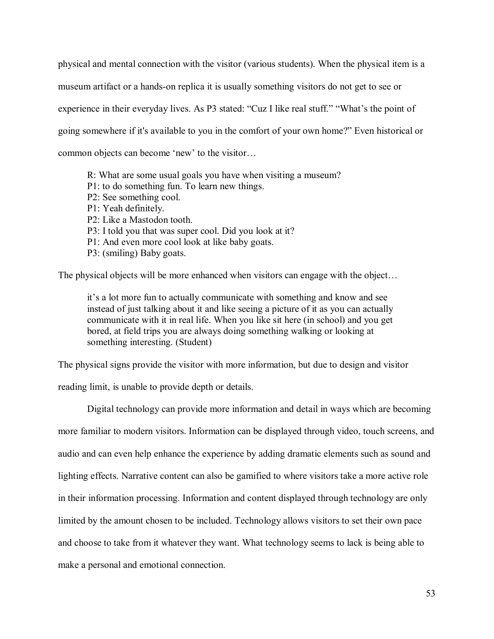physical and mental connection with the visitor (various students). When the physical item is a museum artifact or a hands-on replica it is usually something visitors do not get to see or experience in their everyday lives. As P3 stated: "Cuz I like real stuff." "What's the point of going somewhere if it's available to you in the comfort of your own home?" Even historical or common objects can become 'new' to the visitor…

R: What are some usual goals you have when visiting a museum? P1: to do something fun. To learn new things. P2: See something cool. P1: Yeah definitely. P2: Like a Mastodon tooth. P3: I told you that was super cool. Did you look at it? P1: And even more cool look at like baby goats. P3: (smiling) Baby goats.

The physical objects will be more enhanced when visitors can engage with the object…

it's a lot more fun to actually communicate with something and know and see instead of just talking about it and like seeing a picture of it as you can actually communicate with it in real life. When you like sit here (in school) and you get bored, at field trips you are always doing something walking or looking at something interesting. (Student)

The physical signs provide the visitor with more information, but due to design and visitor

reading limit, is unable to provide depth or details.

Digital technology can provide more information and detail in ways which are becoming more familiar to modern visitors. Information can be displayed through video, touch screens, and audio and can even help enhance the experience by adding dramatic elements such as sound and lighting effects. Narrative content can also be gamified to where visitors take a more active role in their information processing. Information and content displayed through technology are only limited by the amount chosen to be included. Technology allows visitors to set their own pace and choose to take from it whatever they want. What technology seems to lack is being able to make a personal and emotional connection.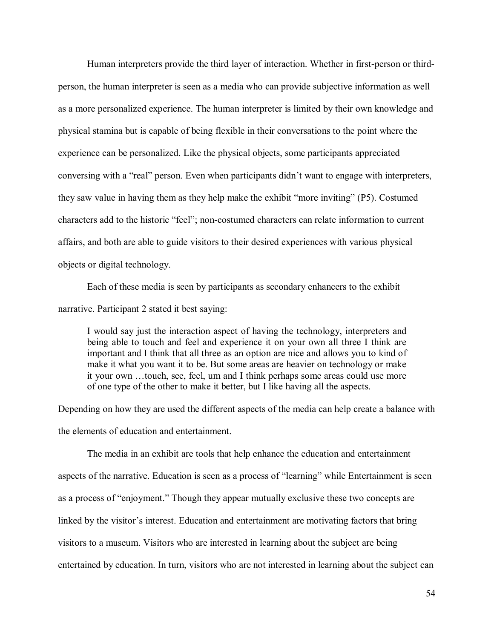Human interpreters provide the third layer of interaction. Whether in first-person or thirdperson, the human interpreter is seen as a media who can provide subjective information as well as a more personalized experience. The human interpreter is limited by their own knowledge and physical stamina but is capable of being flexible in their conversations to the point where the experience can be personalized. Like the physical objects, some participants appreciated conversing with a "real" person. Even when participants didn't want to engage with interpreters, they saw value in having them as they help make the exhibit "more inviting" (P5). Costumed characters add to the historic "feel"; non-costumed characters can relate information to current affairs, and both are able to guide visitors to their desired experiences with various physical objects or digital technology.

Each of these media is seen by participants as secondary enhancers to the exhibit narrative. Participant 2 stated it best saying:

I would say just the interaction aspect of having the technology, interpreters and being able to touch and feel and experience it on your own all three I think are important and I think that all three as an option are nice and allows you to kind of make it what you want it to be. But some areas are heavier on technology or make it your own …touch, see, feel, um and I think perhaps some areas could use more of one type of the other to make it better, but I like having all the aspects.

Depending on how they are used the different aspects of the media can help create a balance with the elements of education and entertainment.

The media in an exhibit are tools that help enhance the education and entertainment aspects of the narrative. Education is seen as a process of "learning" while Entertainment is seen as a process of "enjoyment." Though they appear mutually exclusive these two concepts are linked by the visitor's interest. Education and entertainment are motivating factors that bring visitors to a museum. Visitors who are interested in learning about the subject are being entertained by education. In turn, visitors who are not interested in learning about the subject can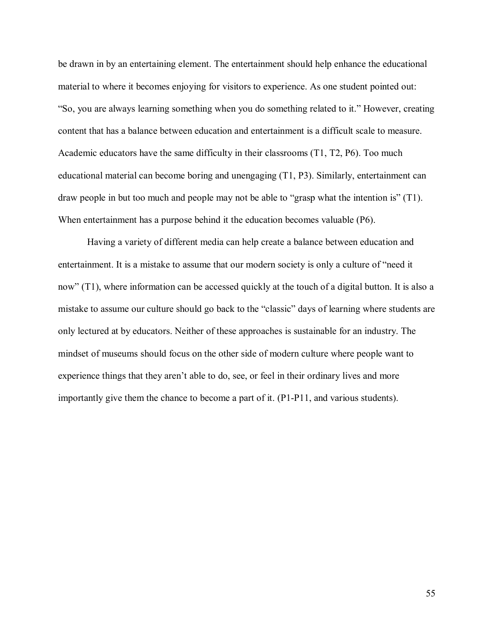be drawn in by an entertaining element. The entertainment should help enhance the educational material to where it becomes enjoying for visitors to experience. As one student pointed out: "So, you are always learning something when you do something related to it." However, creating content that has a balance between education and entertainment is a difficult scale to measure. Academic educators have the same difficulty in their classrooms (T1, T2, P6). Too much educational material can become boring and unengaging (T1, P3). Similarly, entertainment can draw people in but too much and people may not be able to "grasp what the intention is" (T1). When entertainment has a purpose behind it the education becomes valuable (P6).

Having a variety of different media can help create a balance between education and entertainment. It is a mistake to assume that our modern society is only a culture of "need it now" (T1), where information can be accessed quickly at the touch of a digital button. It is also a mistake to assume our culture should go back to the "classic" days of learning where students are only lectured at by educators. Neither of these approaches is sustainable for an industry. The mindset of museums should focus on the other side of modern culture where people want to experience things that they aren't able to do, see, or feel in their ordinary lives and more importantly give them the chance to become a part of it. (P1-P11, and various students).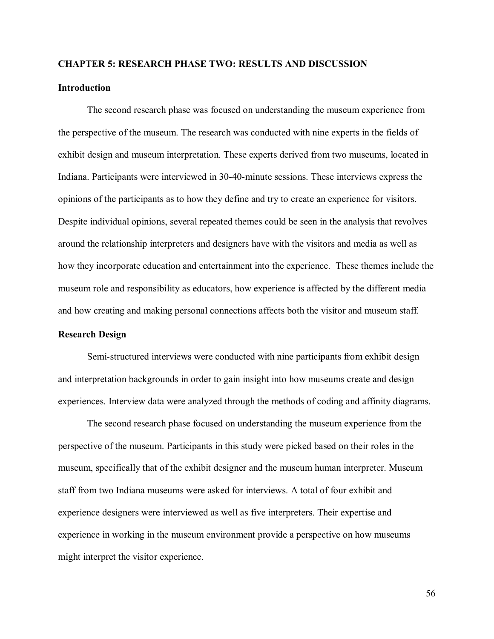# **CHAPTER 5: RESEARCH PHASE TWO: RESULTS AND DISCUSSION**

## **Introduction**

The second research phase was focused on understanding the museum experience from the perspective of the museum. The research was conducted with nine experts in the fields of exhibit design and museum interpretation. These experts derived from two museums, located in Indiana. Participants were interviewed in 30-40-minute sessions. These interviews express the opinions of the participants as to how they define and try to create an experience for visitors. Despite individual opinions, several repeated themes could be seen in the analysis that revolves around the relationship interpreters and designers have with the visitors and media as well as how they incorporate education and entertainment into the experience. These themes include the museum role and responsibility as educators, how experience is affected by the different media and how creating and making personal connections affects both the visitor and museum staff.

## **Research Design**

Semi-structured interviews were conducted with nine participants from exhibit design and interpretation backgrounds in order to gain insight into how museums create and design experiences. Interview data were analyzed through the methods of coding and affinity diagrams.

The second research phase focused on understanding the museum experience from the perspective of the museum. Participants in this study were picked based on their roles in the museum, specifically that of the exhibit designer and the museum human interpreter. Museum staff from two Indiana museums were asked for interviews. A total of four exhibit and experience designers were interviewed as well as five interpreters. Their expertise and experience in working in the museum environment provide a perspective on how museums might interpret the visitor experience.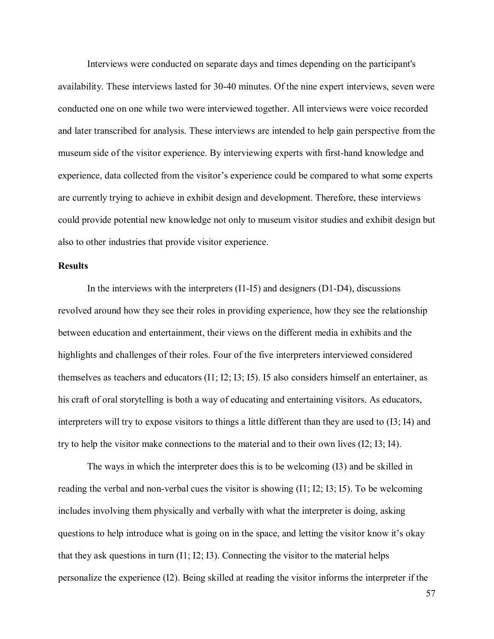Interviews were conducted on separate days and times depending on the participant's availability. These interviews lasted for 30-40 minutes. Of the nine expert interviews, seven were conducted one on one while two were interviewed together. All interviews were voice recorded and later transcribed for analysis. These interviews are intended to help gain perspective from the museum side of the visitor experience. By interviewing experts with first-hand knowledge and experience, data collected from the visitor's experience could be compared to what some experts are currently trying to achieve in exhibit design and development. Therefore, these interviews could provide potential new knowledge not only to museum visitor studies and exhibit design but also to other industries that provide visitor experience.

## **Results**

In the interviews with the interpreters (I1-I5) and designers (D1-D4), discussions revolved around how they see their roles in providing experience, how they see the relationship between education and entertainment, their views on the different media in exhibits and the highlights and challenges of their roles. Four of the five interpreters interviewed considered themselves as teachers and educators (I1; I2; I3; I5). I5 also considers himself an entertainer, as his craft of oral storytelling is both a way of educating and entertaining visitors. As educators, interpreters will try to expose visitors to things a little different than they are used to (I3; I4) and try to help the visitor make connections to the material and to their own lives (I2; I3; I4).

The ways in which the interpreter does this is to be welcoming (I3) and be skilled in reading the verbal and non-verbal cues the visitor is showing  $(11; 12; 13; 15)$ . To be welcoming includes involving them physically and verbally with what the interpreter is doing, asking questions to help introduce what is going on in the space, and letting the visitor know it's okay that they ask questions in turn (I1; I2; I3). Connecting the visitor to the material helps personalize the experience (I2). Being skilled at reading the visitor informs the interpreter if the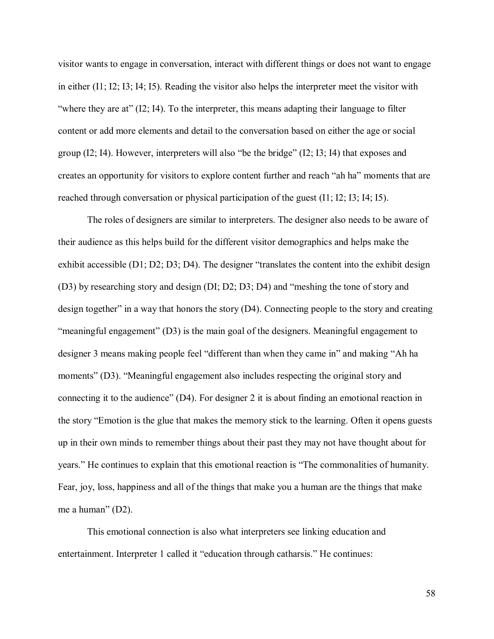visitor wants to engage in conversation, interact with different things or does not want to engage in either (I1; I2; I3; I4; I5). Reading the visitor also helps the interpreter meet the visitor with "where they are at" (I2; I4). To the interpreter, this means adapting their language to filter content or add more elements and detail to the conversation based on either the age or social group (I2; I4). However, interpreters will also "be the bridge" (I2; I3; I4) that exposes and creates an opportunity for visitors to explore content further and reach "ah ha" moments that are reached through conversation or physical participation of the guest (I1; I2; I3; I4; I5).

The roles of designers are similar to interpreters. The designer also needs to be aware of their audience as this helps build for the different visitor demographics and helps make the exhibit accessible (D1; D2; D3; D4). The designer "translates the content into the exhibit design (D3) by researching story and design (DI; D2; D3; D4) and "meshing the tone of story and design together" in a way that honors the story (D4). Connecting people to the story and creating "meaningful engagement" (D3) is the main goal of the designers. Meaningful engagement to designer 3 means making people feel "different than when they came in" and making "Ah ha moments" (D3). "Meaningful engagement also includes respecting the original story and connecting it to the audience" (D4). For designer 2 it is about finding an emotional reaction in the story "Emotion is the glue that makes the memory stick to the learning. Often it opens guests up in their own minds to remember things about their past they may not have thought about for years." He continues to explain that this emotional reaction is "The commonalities of humanity. Fear, joy, loss, happiness and all of the things that make you a human are the things that make me a human" (D2).

This emotional connection is also what interpreters see linking education and entertainment. Interpreter 1 called it "education through catharsis." He continues: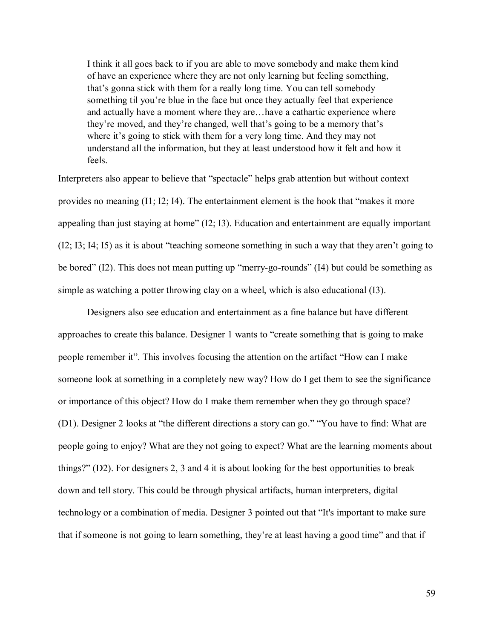I think it all goes back to if you are able to move somebody and make them kind of have an experience where they are not only learning but feeling something, that's gonna stick with them for a really long time. You can tell somebody something til you're blue in the face but once they actually feel that experience and actually have a moment where they are…have a cathartic experience where they're moved, and they're changed, well that's going to be a memory that's where it's going to stick with them for a very long time. And they may not understand all the information, but they at least understood how it felt and how it feels.

Interpreters also appear to believe that "spectacle" helps grab attention but without context provides no meaning (I1; I2; I4). The entertainment element is the hook that "makes it more appealing than just staying at home" (I2; I3). Education and entertainment are equally important (I2; I3; I4; I5) as it is about "teaching someone something in such a way that they aren't going to be bored" (I2). This does not mean putting up "merry-go-rounds" (I4) but could be something as simple as watching a potter throwing clay on a wheel, which is also educational (I3).

Designers also see education and entertainment as a fine balance but have different approaches to create this balance. Designer 1 wants to "create something that is going to make people remember it". This involves focusing the attention on the artifact "How can I make someone look at something in a completely new way? How do I get them to see the significance or importance of this object? How do I make them remember when they go through space? (D1). Designer 2 looks at "the different directions a story can go." "You have to find: What are people going to enjoy? What are they not going to expect? What are the learning moments about things?" (D2). For designers 2, 3 and 4 it is about looking for the best opportunities to break down and tell story. This could be through physical artifacts, human interpreters, digital technology or a combination of media. Designer 3 pointed out that "It's important to make sure that if someone is not going to learn something, they're at least having a good time" and that if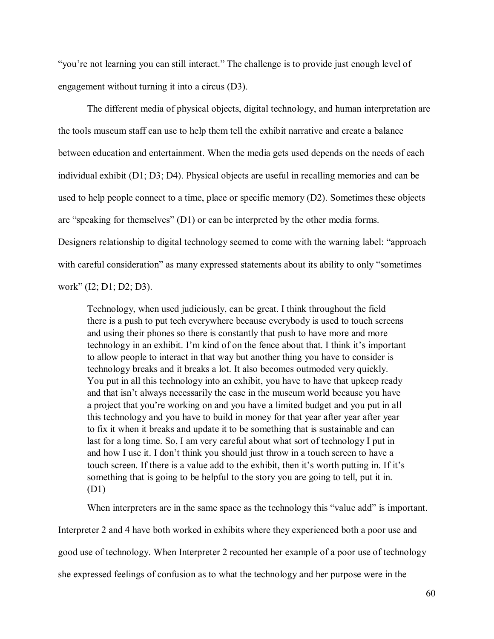"you're not learning you can still interact." The challenge is to provide just enough level of engagement without turning it into a circus (D3).

The different media of physical objects, digital technology, and human interpretation are the tools museum staff can use to help them tell the exhibit narrative and create a balance between education and entertainment. When the media gets used depends on the needs of each individual exhibit (D1; D3; D4). Physical objects are useful in recalling memories and can be used to help people connect to a time, place or specific memory (D2). Sometimes these objects are "speaking for themselves" (D1) or can be interpreted by the other media forms. Designers relationship to digital technology seemed to come with the warning label: "approach with careful consideration" as many expressed statements about its ability to only "sometimes work" (I2; D1; D2; D3).

Technology, when used judiciously, can be great. I think throughout the field there is a push to put tech everywhere because everybody is used to touch screens and using their phones so there is constantly that push to have more and more technology in an exhibit. I'm kind of on the fence about that. I think it's important to allow people to interact in that way but another thing you have to consider is technology breaks and it breaks a lot. It also becomes outmoded very quickly. You put in all this technology into an exhibit, you have to have that upkeep ready and that isn't always necessarily the case in the museum world because you have a project that you're working on and you have a limited budget and you put in all this technology and you have to build in money for that year after year after year to fix it when it breaks and update it to be something that is sustainable and can last for a long time. So, I am very careful about what sort of technology I put in and how I use it. I don't think you should just throw in a touch screen to have a touch screen. If there is a value add to the exhibit, then it's worth putting in. If it's something that is going to be helpful to the story you are going to tell, put it in. (D1)

When interpreters are in the same space as the technology this "value add" is important.

Interpreter 2 and 4 have both worked in exhibits where they experienced both a poor use and good use of technology. When Interpreter 2 recounted her example of a poor use of technology she expressed feelings of confusion as to what the technology and her purpose were in the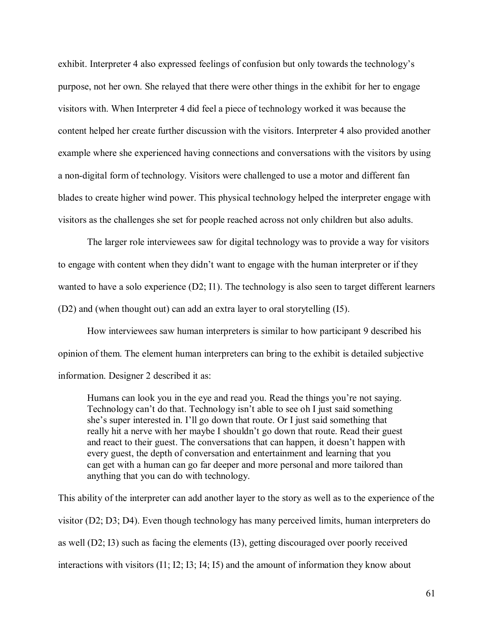exhibit. Interpreter 4 also expressed feelings of confusion but only towards the technology's purpose, not her own. She relayed that there were other things in the exhibit for her to engage visitors with. When Interpreter 4 did feel a piece of technology worked it was because the content helped her create further discussion with the visitors. Interpreter 4 also provided another example where she experienced having connections and conversations with the visitors by using a non-digital form of technology. Visitors were challenged to use a motor and different fan blades to create higher wind power. This physical technology helped the interpreter engage with visitors as the challenges she set for people reached across not only children but also adults.

The larger role interviewees saw for digital technology was to provide a way for visitors to engage with content when they didn't want to engage with the human interpreter or if they wanted to have a solo experience (D2; I1). The technology is also seen to target different learners (D2) and (when thought out) can add an extra layer to oral storytelling (I5).

How interviewees saw human interpreters is similar to how participant 9 described his opinion of them. The element human interpreters can bring to the exhibit is detailed subjective information. Designer 2 described it as:

Humans can look you in the eye and read you. Read the things you're not saying. Technology can't do that. Technology isn't able to see oh I just said something she's super interested in. I'll go down that route. Or I just said something that really hit a nerve with her maybe I shouldn't go down that route. Read their guest and react to their guest. The conversations that can happen, it doesn't happen with every guest, the depth of conversation and entertainment and learning that you can get with a human can go far deeper and more personal and more tailored than anything that you can do with technology.

This ability of the interpreter can add another layer to the story as well as to the experience of the visitor (D2; D3; D4). Even though technology has many perceived limits, human interpreters do as well (D2; I3) such as facing the elements (I3), getting discouraged over poorly received interactions with visitors (I1; I2; I3; I4; I5) and the amount of information they know about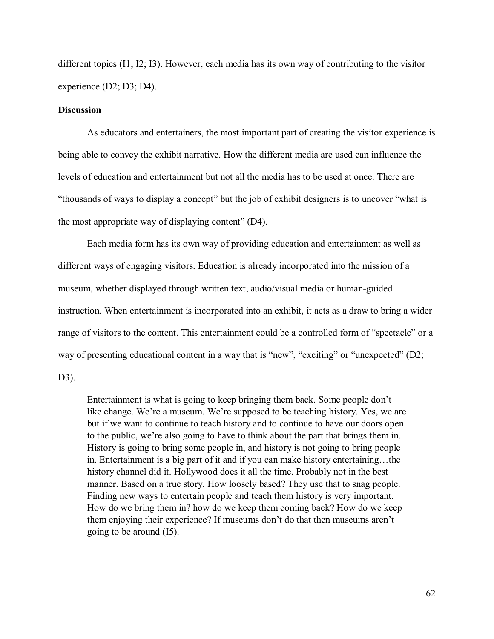different topics (I1; I2; I3). However, each media has its own way of contributing to the visitor experience (D2; D3; D4).

#### **Discussion**

As educators and entertainers, the most important part of creating the visitor experience is being able to convey the exhibit narrative. How the different media are used can influence the levels of education and entertainment but not all the media has to be used at once. There are "thousands of ways to display a concept" but the job of exhibit designers is to uncover "what is the most appropriate way of displaying content" (D4).

Each media form has its own way of providing education and entertainment as well as different ways of engaging visitors. Education is already incorporated into the mission of a museum, whether displayed through written text, audio/visual media or human-guided instruction. When entertainment is incorporated into an exhibit, it acts as a draw to bring a wider range of visitors to the content. This entertainment could be a controlled form of "spectacle" or a way of presenting educational content in a way that is "new", "exciting" or "unexpected" (D2; D3).

Entertainment is what is going to keep bringing them back. Some people don't like change. We're a museum. We're supposed to be teaching history. Yes, we are but if we want to continue to teach history and to continue to have our doors open to the public, we're also going to have to think about the part that brings them in. History is going to bring some people in, and history is not going to bring people in. Entertainment is a big part of it and if you can make history entertaining…the history channel did it. Hollywood does it all the time. Probably not in the best manner. Based on a true story. How loosely based? They use that to snag people. Finding new ways to entertain people and teach them history is very important. How do we bring them in? how do we keep them coming back? How do we keep them enjoying their experience? If museums don't do that then museums aren't going to be around (I5).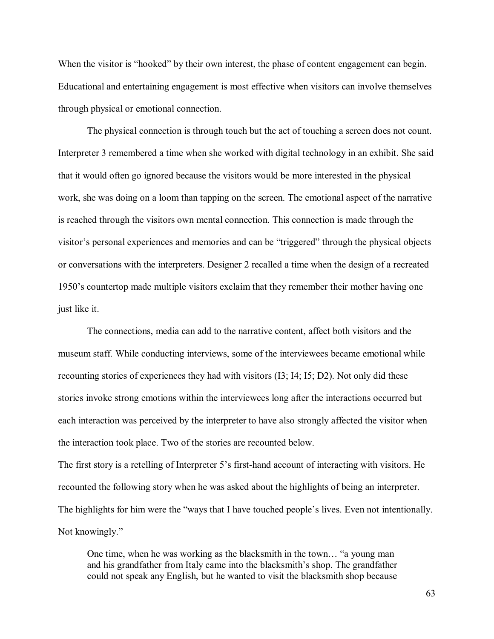When the visitor is "hooked" by their own interest, the phase of content engagement can begin. Educational and entertaining engagement is most effective when visitors can involve themselves through physical or emotional connection.

The physical connection is through touch but the act of touching a screen does not count. Interpreter 3 remembered a time when she worked with digital technology in an exhibit. She said that it would often go ignored because the visitors would be more interested in the physical work, she was doing on a loom than tapping on the screen. The emotional aspect of the narrative is reached through the visitors own mental connection. This connection is made through the visitor's personal experiences and memories and can be "triggered" through the physical objects or conversations with the interpreters. Designer 2 recalled a time when the design of a recreated 1950's countertop made multiple visitors exclaim that they remember their mother having one just like it.

The connections, media can add to the narrative content, affect both visitors and the museum staff. While conducting interviews, some of the interviewees became emotional while recounting stories of experiences they had with visitors (I3; I4; I5; D2). Not only did these stories invoke strong emotions within the interviewees long after the interactions occurred but each interaction was perceived by the interpreter to have also strongly affected the visitor when the interaction took place. Two of the stories are recounted below.

The first story is a retelling of Interpreter 5's first-hand account of interacting with visitors. He recounted the following story when he was asked about the highlights of being an interpreter. The highlights for him were the "ways that I have touched people's lives. Even not intentionally. Not knowingly."

One time, when he was working as the blacksmith in the town… "a young man and his grandfather from Italy came into the blacksmith's shop. The grandfather could not speak any English, but he wanted to visit the blacksmith shop because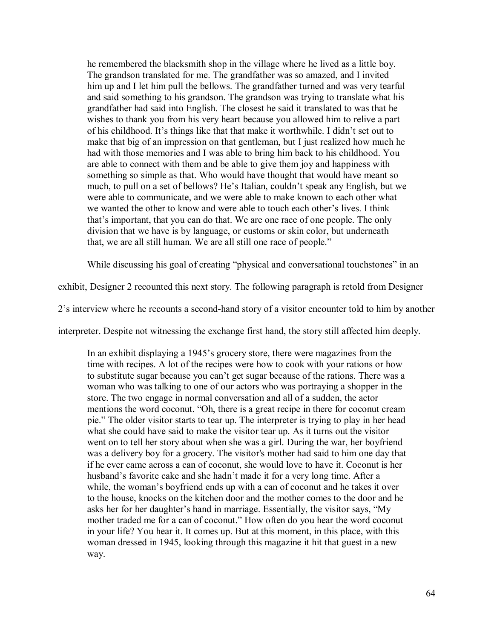he remembered the blacksmith shop in the village where he lived as a little boy. The grandson translated for me. The grandfather was so amazed, and I invited him up and I let him pull the bellows. The grandfather turned and was very tearful and said something to his grandson. The grandson was trying to translate what his grandfather had said into English. The closest he said it translated to was that he wishes to thank you from his very heart because you allowed him to relive a part of his childhood. It's things like that that make it worthwhile. I didn't set out to make that big of an impression on that gentleman, but I just realized how much he had with those memories and I was able to bring him back to his childhood. You are able to connect with them and be able to give them joy and happiness with something so simple as that. Who would have thought that would have meant so much, to pull on a set of bellows? He's Italian, couldn't speak any English, but we were able to communicate, and we were able to make known to each other what we wanted the other to know and were able to touch each other's lives. I think that's important, that you can do that. We are one race of one people. The only division that we have is by language, or customs or skin color, but underneath that, we are all still human. We are all still one race of people."

While discussing his goal of creating "physical and conversational touchstones" in an

exhibit, Designer 2 recounted this next story. The following paragraph is retold from Designer

2's interview where he recounts a second-hand story of a visitor encounter told to him by another

interpreter. Despite not witnessing the exchange first hand, the story still affected him deeply.

In an exhibit displaying a 1945's grocery store, there were magazines from the time with recipes. A lot of the recipes were how to cook with your rations or how to substitute sugar because you can't get sugar because of the rations. There was a woman who was talking to one of our actors who was portraying a shopper in the store. The two engage in normal conversation and all of a sudden, the actor mentions the word coconut. "Oh, there is a great recipe in there for coconut cream pie." The older visitor starts to tear up. The interpreter is trying to play in her head what she could have said to make the visitor tear up. As it turns out the visitor went on to tell her story about when she was a girl. During the war, her boyfriend was a delivery boy for a grocery. The visitor's mother had said to him one day that if he ever came across a can of coconut, she would love to have it. Coconut is her husband's favorite cake and she hadn't made it for a very long time. After a while, the woman's boyfriend ends up with a can of coconut and he takes it over to the house, knocks on the kitchen door and the mother comes to the door and he asks her for her daughter's hand in marriage. Essentially, the visitor says, "My mother traded me for a can of coconut." How often do you hear the word coconut in your life? You hear it. It comes up. But at this moment, in this place, with this woman dressed in 1945, looking through this magazine it hit that guest in a new way.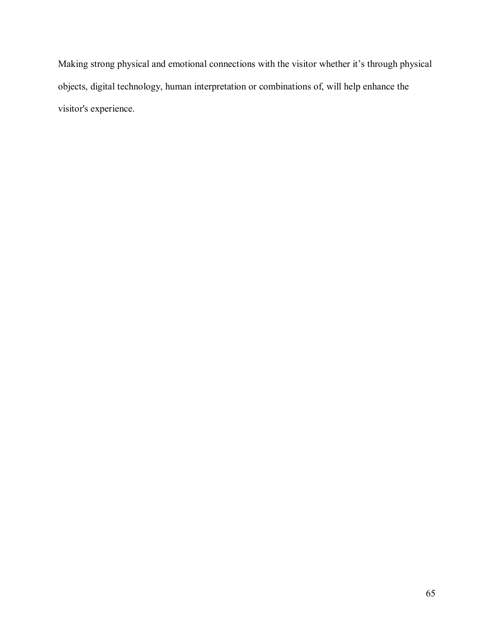Making strong physical and emotional connections with the visitor whether it's through physical objects, digital technology, human interpretation or combinations of, will help enhance the visitor's experience.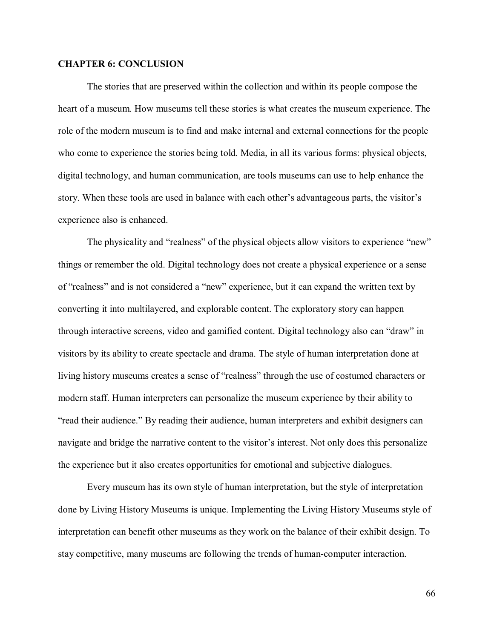### **CHAPTER 6: CONCLUSION**

The stories that are preserved within the collection and within its people compose the heart of a museum. How museums tell these stories is what creates the museum experience. The role of the modern museum is to find and make internal and external connections for the people who come to experience the stories being told. Media, in all its various forms: physical objects, digital technology, and human communication, are tools museums can use to help enhance the story. When these tools are used in balance with each other's advantageous parts, the visitor's experience also is enhanced.

The physicality and "realness" of the physical objects allow visitors to experience "new" things or remember the old. Digital technology does not create a physical experience or a sense of "realness" and is not considered a "new" experience, but it can expand the written text by converting it into multilayered, and explorable content. The exploratory story can happen through interactive screens, video and gamified content. Digital technology also can "draw" in visitors by its ability to create spectacle and drama. The style of human interpretation done at living history museums creates a sense of "realness" through the use of costumed characters or modern staff. Human interpreters can personalize the museum experience by their ability to "read their audience." By reading their audience, human interpreters and exhibit designers can navigate and bridge the narrative content to the visitor's interest. Not only does this personalize the experience but it also creates opportunities for emotional and subjective dialogues.

Every museum has its own style of human interpretation, but the style of interpretation done by Living History Museums is unique. Implementing the Living History Museums style of interpretation can benefit other museums as they work on the balance of their exhibit design. To stay competitive, many museums are following the trends of human-computer interaction.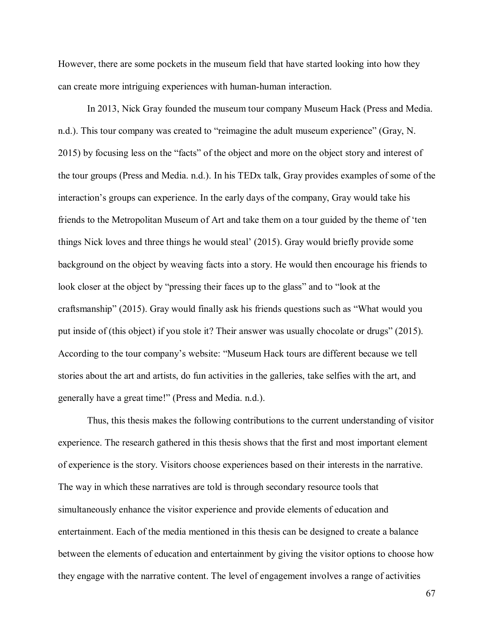However, there are some pockets in the museum field that have started looking into how they can create more intriguing experiences with human-human interaction.

In 2013, Nick Gray founded the museum tour company Museum Hack (Press and Media. n.d.). This tour company was created to "reimagine the adult museum experience" (Gray, N. 2015) by focusing less on the "facts" of the object and more on the object story and interest of the tour groups (Press and Media. n.d.). In his TEDx talk, Gray provides examples of some of the interaction's groups can experience. In the early days of the company, Gray would take his friends to the Metropolitan Museum of Art and take them on a tour guided by the theme of 'ten things Nick loves and three things he would steal' (2015). Gray would briefly provide some background on the object by weaving facts into a story. He would then encourage his friends to look closer at the object by "pressing their faces up to the glass" and to "look at the craftsmanship" (2015). Gray would finally ask his friends questions such as "What would you put inside of (this object) if you stole it? Their answer was usually chocolate or drugs" (2015). According to the tour company's website: "Museum Hack tours are different because we tell stories about the art and artists, do fun activities in the galleries, take selfies with the art, and generally have a great time!" (Press and Media. n.d.).

Thus, this thesis makes the following contributions to the current understanding of visitor experience. The research gathered in this thesis shows that the first and most important element of experience is the story. Visitors choose experiences based on their interests in the narrative. The way in which these narratives are told is through secondary resource tools that simultaneously enhance the visitor experience and provide elements of education and entertainment. Each of the media mentioned in this thesis can be designed to create a balance between the elements of education and entertainment by giving the visitor options to choose how they engage with the narrative content. The level of engagement involves a range of activities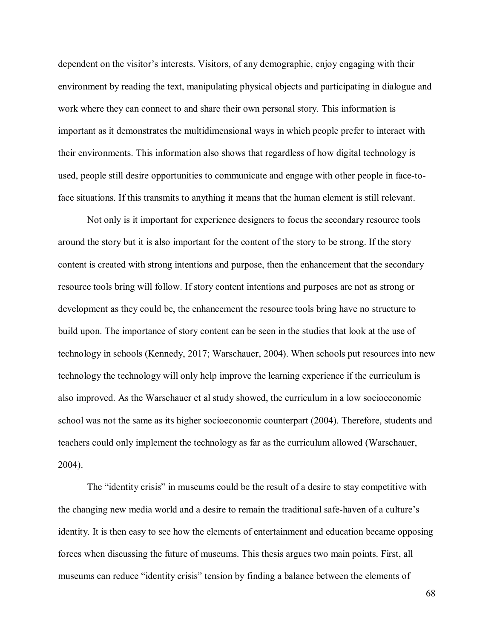dependent on the visitor's interests. Visitors, of any demographic, enjoy engaging with their environment by reading the text, manipulating physical objects and participating in dialogue and work where they can connect to and share their own personal story. This information is important as it demonstrates the multidimensional ways in which people prefer to interact with their environments. This information also shows that regardless of how digital technology is used, people still desire opportunities to communicate and engage with other people in face-toface situations. If this transmits to anything it means that the human element is still relevant.

Not only is it important for experience designers to focus the secondary resource tools around the story but it is also important for the content of the story to be strong. If the story content is created with strong intentions and purpose, then the enhancement that the secondary resource tools bring will follow. If story content intentions and purposes are not as strong or development as they could be, the enhancement the resource tools bring have no structure to build upon. The importance of story content can be seen in the studies that look at the use of technology in schools (Kennedy, 2017; Warschauer, 2004). When schools put resources into new technology the technology will only help improve the learning experience if the curriculum is also improved. As the Warschauer et al study showed, the curriculum in a low socioeconomic school was not the same as its higher socioeconomic counterpart (2004). Therefore, students and teachers could only implement the technology as far as the curriculum allowed (Warschauer, 2004).

The "identity crisis" in museums could be the result of a desire to stay competitive with the changing new media world and a desire to remain the traditional safe-haven of a culture's identity. It is then easy to see how the elements of entertainment and education became opposing forces when discussing the future of museums. This thesis argues two main points. First, all museums can reduce "identity crisis" tension by finding a balance between the elements of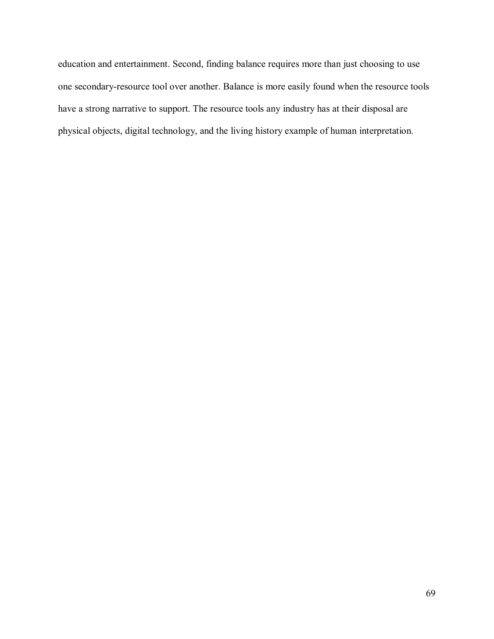education and entertainment. Second, finding balance requires more than just choosing to use one secondary-resource tool over another. Balance is more easily found when the resource tools have a strong narrative to support. The resource tools any industry has at their disposal are physical objects, digital technology, and the living history example of human interpretation.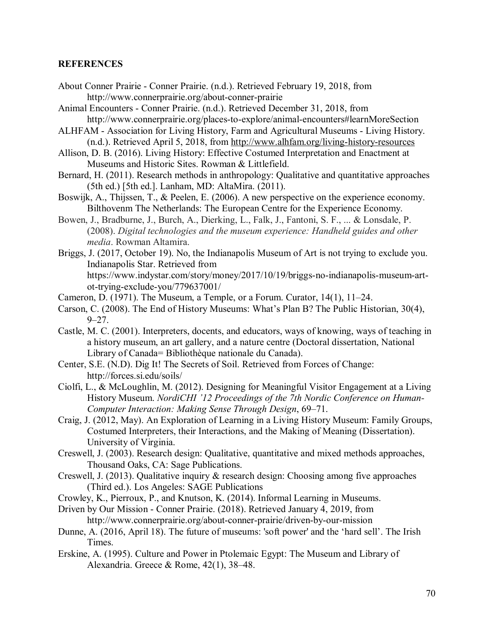## **REFERENCES**

- About Conner Prairie Conner Prairie. (n.d.). Retrieved February 19, 2018, from http://www.connerprairie.org/about-conner-prairie
- Animal Encounters Conner Prairie. (n.d.). Retrieved December 31, 2018, from http://www.connerprairie.org/places-to-explore/animal-encounters#learnMoreSection
- ALHFAM Association for Living History, Farm and Agricultural Museums Living History. (n.d.). Retrieved April 5, 2018, from http://www.alhfam.org/living-history-resources
- Allison, D. B. (2016). Living History: Effective Costumed Interpretation and Enactment at Museums and Historic Sites. Rowman & Littlefield.
- Bernard, H. (2011). Research methods in anthropology: Qualitative and quantitative approaches (5th ed.) [5th ed.]. Lanham, MD: AltaMira. (2011).
- Boswijk, A., Thijssen, T., & Peelen, E. (2006). A new perspective on the experience economy. Bilthovenm The Netherlands: The European Centre for the Experience Economy.
- Bowen, J., Bradburne, J., Burch, A., Dierking, L., Falk, J., Fantoni, S. F., ... & Lonsdale, P. (2008). *Digital technologies and the museum experience: Handheld guides and other media*. Rowman Altamira.
- Briggs, J. (2017, October 19). No, the Indianapolis Museum of Art is not trying to exclude you. Indianapolis Star. Retrieved from https://www.indystar.com/story/money/2017/10/19/briggs-no-indianapolis-museum-artot-trying-exclude-you/779637001/
- Cameron, D. (1971). The Museum, a Temple, or a Forum. Curator, 14(1), 11–24.
- Carson, C. (2008). The End of History Museums: What's Plan B? The Public Historian, 30(4),  $9 - 27$ .
- Castle, M. C. (2001). Interpreters, docents, and educators, ways of knowing, ways of teaching in a history museum, an art gallery, and a nature centre (Doctoral dissertation, National Library of Canada= Bibliothèque nationale du Canada).
- Center, S.E. (N.D). Dig It! The Secrets of Soil. Retrieved from Forces of Change: http://forces.si.edu/soils/
- Ciolfi, L., & McLoughlin, M. (2012). Designing for Meaningful Visitor Engagement at a Living History Museum. *NordiCHI '12 Proceedings of the 7th Nordic Conference on Human-Computer Interaction: Making Sense Through Design*, 69–71.
- Craig, J. (2012, May). An Exploration of Learning in a Living History Museum: Family Groups, Costumed Interpreters, their Interactions, and the Making of Meaning (Dissertation). University of Virginia.
- Creswell, J. (2003). Research design: Qualitative, quantitative and mixed methods approaches, Thousand Oaks, CA: Sage Publications.
- Creswell, J. (2013). Qualitative inquiry & research design: Choosing among five approaches (Third ed.). Los Angeles: SAGE Publications
- Crowley, K., Pierroux, P., and Knutson, K. (2014). Informal Learning in Museums.
- Driven by Our Mission Conner Prairie. (2018). Retrieved January 4, 2019, from http://www.connerprairie.org/about-conner-prairie/driven-by-our-mission
- Dunne, A. (2016, April 18). The future of museums: 'soft power' and the 'hard sell'. The Irish Times.
- Erskine, A. (1995). Culture and Power in Ptolemaic Egypt: The Museum and Library of Alexandria. Greece & Rome, 42(1), 38–48.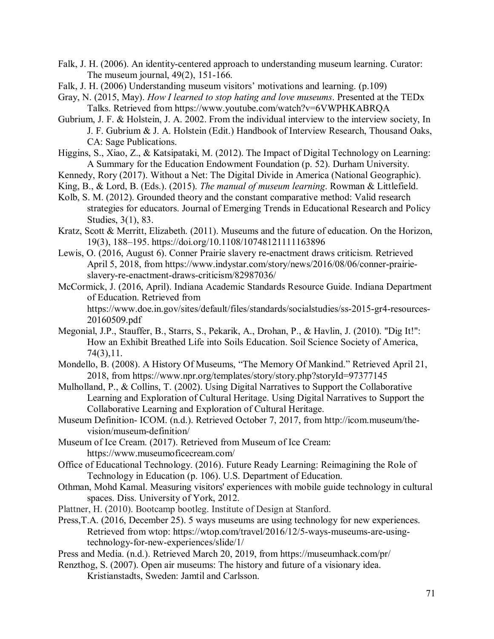- Falk, J. H. (2006). An identity-centered approach to understanding museum learning. Curator: The museum journal, 49(2), 151-166.
- Falk, J. H. (2006) Understanding museum visitors' motivations and learning. (p.109)
- Gray, N. (2015, May). *How I learned to stop hating and love museums*. Presented at the TEDx Talks. Retrieved from https://www.youtube.com/watch?v=6VWPHKABRQA
- Gubrium, J. F. & Holstein, J. A. 2002. From the individual interview to the interview society, In J. F. Gubrium & J. A. Holstein (Edit.) Handbook of Interview Research, Thousand Oaks, CA: Sage Publications.
- Higgins, S., Xiao, Z., & Katsipataki, M. (2012). The Impact of Digital Technology on Learning: A Summary for the Education Endowment Foundation (p. 52). Durham University.
- Kennedy, Rory (2017). Without a Net: The Digital Divide in America (National Geographic).
- King, B., & Lord, B. (Eds.). (2015). *The manual of museum learning*. Rowman & Littlefield.
- Kolb, S. M. (2012). Grounded theory and the constant comparative method: Valid research strategies for educators. Journal of Emerging Trends in Educational Research and Policy Studies, 3(1), 83.
- Kratz, Scott & Merritt, Elizabeth. (2011). Museums and the future of education. On the Horizon, 19(3), 188–195. https://doi.org/10.1108/10748121111163896
- Lewis, O. (2016, August 6). Conner Prairie slavery re-enactment draws criticism. Retrieved April 5, 2018, from https://www.indystar.com/story/news/2016/08/06/conner-prairieslavery-re-enactment-draws-criticism/82987036/
- McCormick, J. (2016, April). Indiana Academic Standards Resource Guide. Indiana Department of Education. Retrieved from https://www.doe.in.gov/sites/default/files/standards/socialstudies/ss-2015-gr4-resources-20160509.pdf
- Megonial, J.P., Stauffer, B., Starrs, S., Pekarik, A., Drohan, P., & Havlin, J. (2010). "Dig It!": How an Exhibit Breathed Life into Soils Education. Soil Science Society of America, 74(3),11.
- Mondello, B. (2008). A History Of Museums, "The Memory Of Mankind." Retrieved April 21, 2018, from https://www.npr.org/templates/story/story.php?storyId=97377145
- Mulholland, P., & Collins, T. (2002). Using Digital Narratives to Support the Collaborative Learning and Exploration of Cultural Heritage. Using Digital Narratives to Support the Collaborative Learning and Exploration of Cultural Heritage.
- Museum Definition- ICOM. (n.d.). Retrieved October 7, 2017, from http://icom.museum/thevision/museum-definition/
- Museum of Ice Cream. (2017). Retrieved from Museum of Ice Cream: https://www.museumoficecream.com/
- Office of Educational Technology. (2016). Future Ready Learning: Reimagining the Role of Technology in Education (p. 106). U.S. Department of Education.
- Othman, Mohd Kamal. Measuring visitors' experiences with mobile guide technology in cultural spaces. Diss. University of York, 2012.
- Plattner, H. (2010). Bootcamp bootleg. Institute of Design at Stanford.
- Press,T.A. (2016, December 25). 5 ways museums are using technology for new experiences. Retrieved from wtop: https://wtop.com/travel/2016/12/5-ways-museums-are-usingtechnology-for-new-experiences/slide/1/
- Press and Media. (n.d.). Retrieved March 20, 2019, from https://museumhack.com/pr/
- Renzthog, S. (2007). Open air museums: The history and future of a visionary idea. Kristianstadts, Sweden: Jamtil and Carlsson.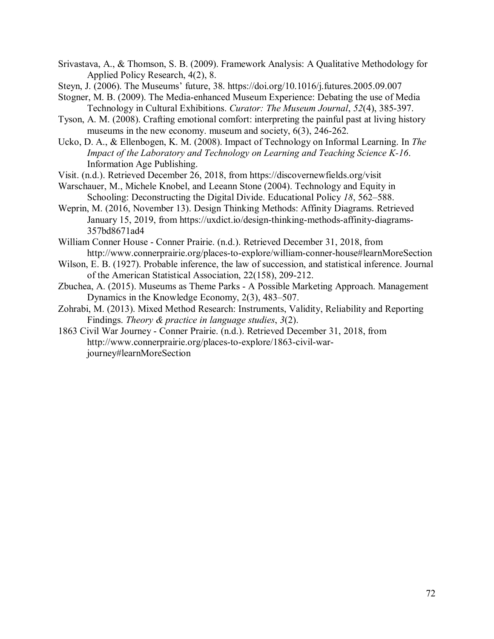- Srivastava, A., & Thomson, S. B. (2009). Framework Analysis: A Qualitative Methodology for Applied Policy Research, 4(2), 8.
- Steyn, J. (2006). The Museums' future, 38. https://doi.org/10.1016/j.futures.2005.09.007
- Stogner, M. B. (2009). The Media‐enhanced Museum Experience: Debating the use of Media Technology in Cultural Exhibitions. *Curator: The Museum Journal*, *52*(4), 385-397.
- Tyson, A. M. (2008). Crafting emotional comfort: interpreting the painful past at living history museums in the new economy. museum and society, 6(3), 246-262.
- Ucko, D. A., & Ellenbogen, K. M. (2008). Impact of Technology on Informal Learning. In *The Impact of the Laboratory and Technology on Learning and Teaching Science K-16*. Information Age Publishing.

Visit. (n.d.). Retrieved December 26, 2018, from https://discovernewfields.org/visit

- Warschauer, M., Michele Knobel, and Leeann Stone (2004). Technology and Equity in Schooling: Deconstructing the Digital Divide. Educational Policy *18*, 562–588.
- Weprin, M. (2016, November 13). Design Thinking Methods: Affinity Diagrams. Retrieved January 15, 2019, from https://uxdict.io/design-thinking-methods-affinity-diagrams-357bd8671ad4
- William Conner House Conner Prairie. (n.d.). Retrieved December 31, 2018, from http://www.connerprairie.org/places-to-explore/william-conner-house#learnMoreSection
- Wilson, E. B. (1927). Probable inference, the law of succession, and statistical inference. Journal of the American Statistical Association, 22(158), 209-212.
- Zbuchea, A. (2015). Museums as Theme Parks A Possible Marketing Approach. Management Dynamics in the Knowledge Economy, 2(3), 483–507.
- Zohrabi, M. (2013). Mixed Method Research: Instruments, Validity, Reliability and Reporting Findings. *Theory & practice in language studies*, *3*(2).
- 1863 Civil War Journey Conner Prairie. (n.d.). Retrieved December 31, 2018, from http://www.connerprairie.org/places-to-explore/1863-civil-warjourney#learnMoreSection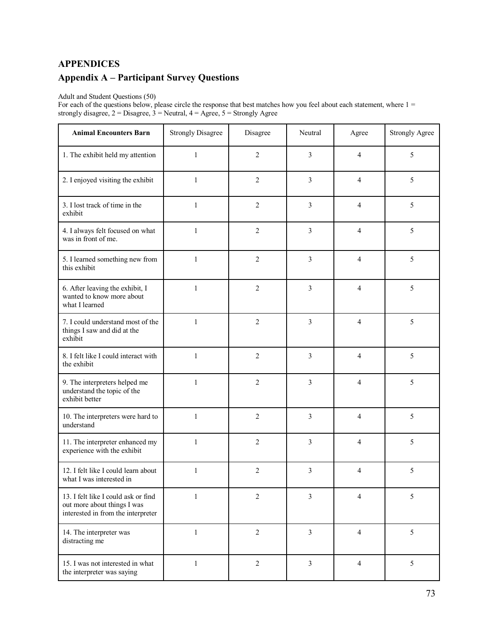# **APPENDICES Appendix A – Participant Survey Questions**

#### Adult and Student Questions (50)

For each of the questions below, please circle the response that best matches how you feel about each statement, where  $1 =$ strongly disagree, 2 = Disagree, 3 = Neutral, 4 = Agree, 5 = Strongly Agree

| <b>Animal Encounters Barn</b>                                                                            | <b>Strongly Disagree</b> | Disagree       | Neutral                 | Agree          | <b>Strongly Agree</b> |
|----------------------------------------------------------------------------------------------------------|--------------------------|----------------|-------------------------|----------------|-----------------------|
| 1. The exhibit held my attention                                                                         | $\mathbf{1}$             | $\overline{c}$ | 3                       | $\overline{4}$ | 5                     |
| 2. I enjoyed visiting the exhibit                                                                        | $\mathbf{1}$             | $\overline{2}$ | 3                       | $\overline{4}$ | 5                     |
| 3. I lost track of time in the<br>exhibit                                                                | $\mathbf{1}$             | $\overline{2}$ | 3                       | $\overline{4}$ | 5                     |
| 4. I always felt focused on what<br>was in front of me.                                                  | $\mathbf{1}$             | $\overline{c}$ | 3                       | 4              | 5                     |
| 5. I learned something new from<br>this exhibit                                                          | $\mathbf{1}$             | $\overline{c}$ | 3                       | 4              | 5                     |
| 6. After leaving the exhibit, I<br>wanted to know more about<br>what I learned                           | $\mathbf{1}$             | $\overline{c}$ | 3                       | 4              | 5                     |
| 7. I could understand most of the<br>things I saw and did at the<br>exhibit                              | $\mathbf{1}$             | $\overline{c}$ | 3                       | 4              | 5                     |
| 8. I felt like I could interact with<br>the exhibit                                                      | $\mathbf{1}$             | $\overline{c}$ | 3                       | 4              | 5                     |
| 9. The interpreters helped me<br>understand the topic of the<br>exhibit better                           | $\mathbf{1}$             | $\overline{2}$ | 3                       | 4              | 5                     |
| 10. The interpreters were hard to<br>understand                                                          | $\mathbf{1}$             | $\overline{c}$ | 3                       | $\overline{4}$ | 5                     |
| 11. The interpreter enhanced my<br>experience with the exhibit                                           | $\mathbf{1}$             | 2              | 3                       | 4              | 5                     |
| 12. I felt like I could learn about<br>what I was interested in                                          | 1                        | 2              | 3                       | 4              | 5                     |
| 13. I felt like I could ask or find<br>out more about things I was<br>interested in from the interpreter | $\mathbf{1}$             | $\overline{2}$ | 3                       | $\overline{4}$ | 5                     |
| 14. The interpreter was<br>distracting me                                                                | $\mathbf{1}$             | $\overline{2}$ | $\overline{\mathbf{3}}$ | $\overline{4}$ | 5                     |
| 15. I was not interested in what<br>the interpreter was saying                                           | $\mathbf{1}$             | $\overline{2}$ | $\overline{\mathbf{3}}$ | $\overline{4}$ | 5                     |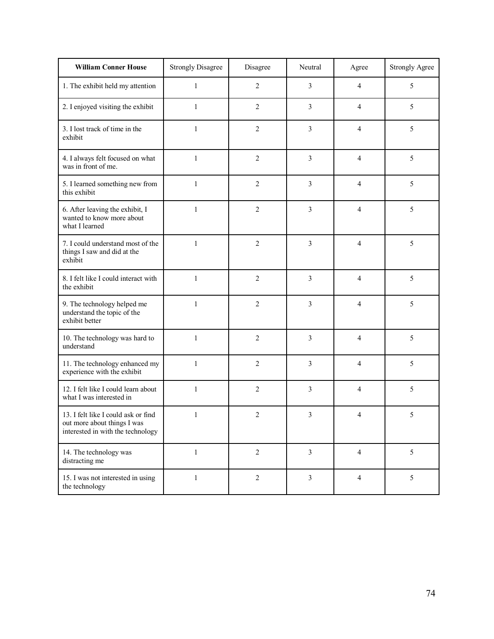| <b>William Conner House</b>                                                                             | <b>Strongly Disagree</b> | Disagree       | Neutral                 | Agree          | <b>Strongly Agree</b> |
|---------------------------------------------------------------------------------------------------------|--------------------------|----------------|-------------------------|----------------|-----------------------|
| 1. The exhibit held my attention                                                                        | $\mathbf{1}$             | $\overline{c}$ | 3                       | $\overline{4}$ | 5                     |
| 2. I enjoyed visiting the exhibit                                                                       | $\mathbf{1}$             | 2              | 3                       | $\overline{4}$ | 5                     |
| 3. I lost track of time in the<br>exhibit                                                               | $\mathbf{1}$             | $\overline{2}$ | 3                       | 4              | 5                     |
| 4. I always felt focused on what<br>was in front of me.                                                 | $\mathbf{1}$             | $\overline{2}$ | 3                       | 4              | 5                     |
| 5. I learned something new from<br>this exhibit                                                         | $\mathbf{1}$             | $\overline{2}$ | 3                       | $\overline{4}$ | 5                     |
| 6. After leaving the exhibit, I<br>wanted to know more about<br>what I learned                          | 1                        | 2              | 3                       | 4              | 5                     |
| 7. I could understand most of the<br>things I saw and did at the<br>exhibit                             | $\mathbf{1}$             | $\overline{c}$ | 3                       | 4              | 5                     |
| 8. I felt like I could interact with<br>the exhibit                                                     | $\mathbf{1}$             | 2              | 3                       | 4              | 5                     |
| 9. The technology helped me<br>understand the topic of the<br>exhibit better                            | $\mathbf{1}$             | $\overline{c}$ | 3                       | 4              | 5                     |
| 10. The technology was hard to<br>understand                                                            | $\mathbf{1}$             | $\overline{c}$ | 3                       | 4              | 5                     |
| 11. The technology enhanced my<br>experience with the exhibit                                           | $\mathbf{1}$             | $\overline{c}$ | 3                       | $\overline{4}$ | 5                     |
| 12. I felt like I could learn about<br>what I was interested in                                         | $\mathbf{1}$             | 2              | 3                       | 4              | 5                     |
| 13. I felt like I could ask or find<br>out more about things I was<br>interested in with the technology | $\mathbf{1}$             | $\overline{c}$ | 3                       | 4              | 5                     |
| 14. The technology was<br>distracting me                                                                | 1                        | $\overline{2}$ | 3                       | $\overline{4}$ | 5                     |
| 15. I was not interested in using<br>the technology                                                     | $\mathbf{1}$             | $\overline{2}$ | $\overline{\mathbf{3}}$ | $\overline{4}$ | 5                     |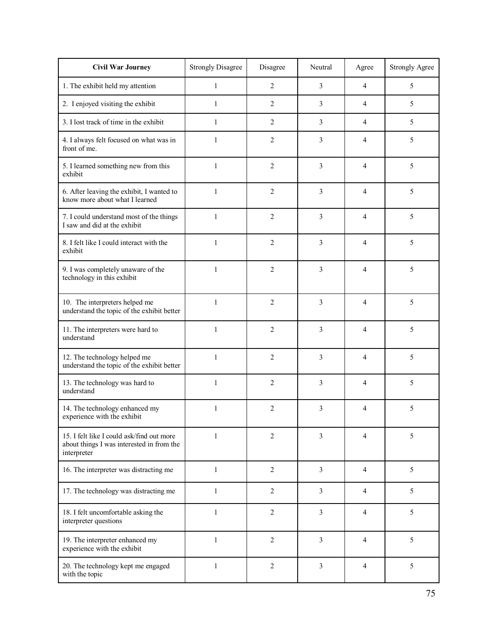| <b>Civil War Journey</b>                                                                              | <b>Strongly Disagree</b> | Disagree         | Neutral        | Agree          | <b>Strongly Agree</b> |
|-------------------------------------------------------------------------------------------------------|--------------------------|------------------|----------------|----------------|-----------------------|
| 1. The exhibit held my attention                                                                      | $\mathbf{1}$             | $\overline{2}$   | 3              | 4              | 5                     |
| 2. I enjoyed visiting the exhibit                                                                     | 1                        | $\overline{2}$   | 3              | $\overline{4}$ | 5                     |
| 3. I lost track of time in the exhibit                                                                | 1                        | $\overline{2}$   | 3              | 4              | 5                     |
| 4. I always felt focused on what was in<br>front of me.                                               | $\mathbf{1}$             | $\overline{2}$   | 3              | $\overline{4}$ | 5                     |
| 5. I learned something new from this<br>exhibit                                                       | $\mathbf{1}$             | 2                | 3              | 4              | 5                     |
| 6. After leaving the exhibit, I wanted to<br>know more about what I learned                           | 1                        | 2                | 3              | 4              | 5                     |
| 7. I could understand most of the things<br>I saw and did at the exhibit                              | $\mathbf{1}$             | $\overline{2}$   | 3              | 4              | 5                     |
| 8. I felt like I could interact with the<br>exhibit                                                   | $\mathbf{1}$             | 2                | 3              | 4              | 5                     |
| 9. I was completely unaware of the<br>technology in this exhibit                                      | $\mathbf{1}$             | $\overline{c}$   | 3              | 4              | 5                     |
| 10. The interpreters helped me<br>understand the topic of the exhibit better                          | $\mathbf{1}$             | $\overline{2}$   | 3              | 4              | 5                     |
| 11. The interpreters were hard to<br>understand                                                       | $\mathbf{1}$             | 2                | 3              | 4              | 5                     |
| 12. The technology helped me<br>understand the topic of the exhibit better                            | $\mathbf{1}$             | $\overline{2}$   | 3              | 4              | 5                     |
| 13. The technology was hard to<br>understand                                                          | 1                        | 2                | 3              | 4              | 5                     |
| 14. The technology enhanced my<br>experience with the exhibit                                         | 1                        | 2                | 3              | 4              | 5                     |
| 15. I felt like I could ask/find out more<br>about things I was interested in from the<br>interpreter | $\mathbf{1}$             | $\overline{c}$   | 3              | $\overline{4}$ | 5                     |
| 16. The interpreter was distracting me                                                                | $\mathbf{1}$             | $\overline{2}$   | $\overline{3}$ | 4              | 5                     |
| 17. The technology was distracting me                                                                 | 1                        | $\overline{2}$   | 3              | 4              | 5                     |
| 18. I felt uncomfortable asking the<br>interpreter questions                                          | $\mathbf{1}$             | $\overline{2}$   | $\overline{3}$ | $\overline{4}$ | 5                     |
| 19. The interpreter enhanced my<br>experience with the exhibit                                        | $\mathbf{1}$             | $\boldsymbol{2}$ | 3              | 4              | 5                     |
| 20. The technology kept me engaged<br>with the topic                                                  | $\mathbf{1}$             | $\overline{2}$   | 3              | 4              | 5                     |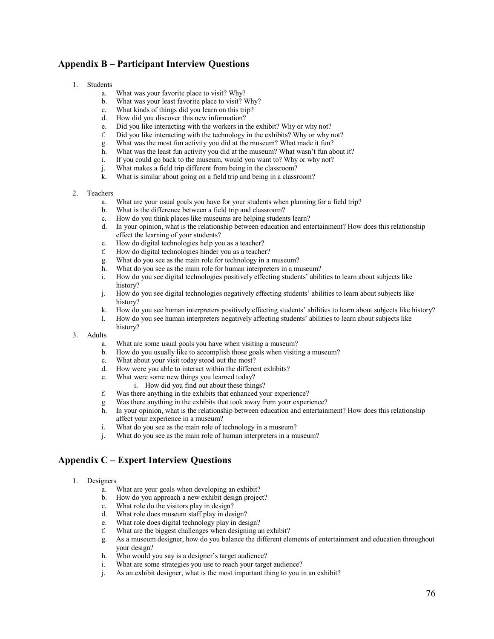## **Appendix B – Participant Interview Questions**

#### 1. Students

- a. What was your favorite place to visit? Why?
- b. What was your least favorite place to visit? Why? c. What kinds of things did you learn on this trin?
- What kinds of things did you learn on this trip?
- d. How did you discover this new information?
- e. Did you like interacting with the workers in the exhibit? Why or why not?
- f. Did you like interacting with the technology in the exhibits? Why or why not?
- g. What was the most fun activity you did at the museum? What made it fun?
- What was the least fun activity you did at the museum? What wasn't fun about it?
- i. If you could go back to the museum, would you want to? Why or why not?
- j. What makes a field trip different from being in the classroom?
- k. What is similar about going on a field trip and being in a classroom?

#### 2. Teachers

- a. What are your usual goals you have for your students when planning for a field trip?
- b. What is the difference between a field trip and classroom?
- c. How do you think places like museums are helping students learn?
- d. In your opinion, what is the relationship between education and entertainment? How does this relationship effect the learning of your students?
- e. How do digital technologies help you as a teacher?
- f. How do digital technologies hinder you as a teacher?
- g. What do you see as the main role for technology in a museum?
- h. What do you see as the main role for human interpreters in a museum?
- i. How do you see digital technologies positively effecting students' abilities to learn about subjects like history?
- j. How do you see digital technologies negatively effecting students' abilities to learn about subjects like history?
- k. How do you see human interpreters positively effecting students' abilities to learn about subjects like history?<br>1. How do you see human interpreters negatively affecting students' abilities to learn about subjects like
- l. How do you see human interpreters negatively affecting students' abilities to learn about subjects like history?
- 3. Adults
	- a. What are some usual goals you have when visiting a museum?
	- b. How do you usually like to accomplish those goals when visiting a museum?
	- c. What about your visit today stood out the most?
	- d. How were you able to interact within the different exhibits?
	- e. What were some new things you learned today?
		- i. How did you find out about these things?
	- f. Was there anything in the exhibits that enhanced your experience?
	-
	- g. Was there anything in the exhibits that took away from your experience?<br>
	h. In your opinion, what is the relationship between education and entertain h. In your opinion, what is the relationship between education and entertainment? How does this relationship affect your experience in a museum?
	- i. What do you see as the main role of technology in a museum?
	- j. What do you see as the main role of human interpreters in a museum?

### **Appendix C – Expert Interview Questions**

- 1. Designers
	- a. What are your goals when developing an exhibit?
	- How do you approach a new exhibit design project?
	-
	- c. What role do the visitors play in design?<br>d. What role does museum staff play in des What role does museum staff play in design?
	- e. What role does digital technology play in design?
	- f. What are the biggest challenges when designing an exhibit?
	- g. As a museum designer, how do you balance the different elements of entertainment and education throughout your design?
	- h. Who would you say is a designer's target audience?
	- i. What are some strategies you use to reach your target audience?
	- j. As an exhibit designer, what is the most important thing to you in an exhibit?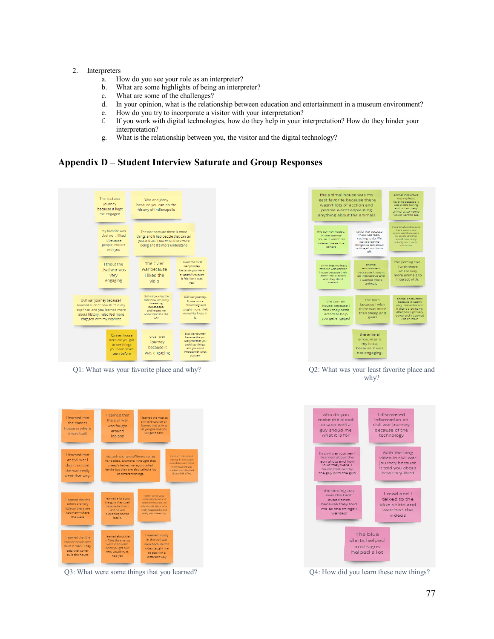#### 2. Interpreters

- a. How do you see your role as an interpreter?
- b. What are some highlights of being an interpreter?
- c. What are some of the challenges?
- d. In your opinion, what is the relationship between education and entertainment in a museum environment?
- e. How do you try to incorporate a visitor with your interpretation?
- f. If you work with digital technologies, how do they help in your interpretation? How do they hinder your interpretation?
- g. What is the relationship between you, the visitor and the digital technology?

### **Appendix D – Student Interview Saturate and Group Responses**



Q1: What was your favorite place and why? Q2: What was your least favorite place and



why?



Q3: What were some things that you learned? Q4: How did you learn these new things?

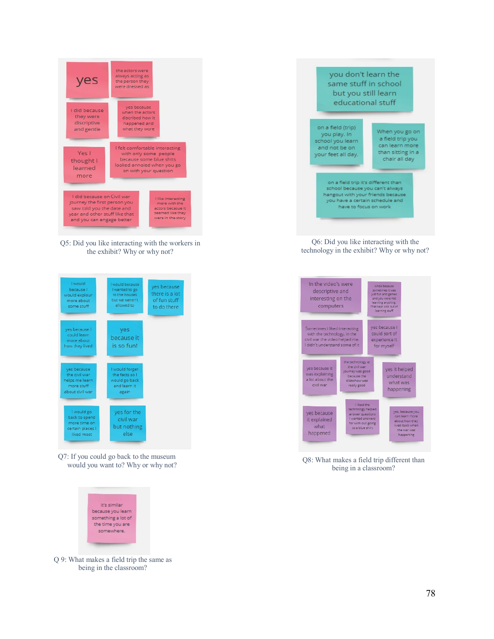

Q5: Did you like interacting with the workers in the exhibit? Why or why not?



Q7: If you could go back to the museum would you want to? Why or why not?



Q 9: What makes a field trip the same as being in the classroom?



Q6: Did you like interacting with the technology in the exhibit? Why or why not?



Q8: What makes a field trip different than being in a classroom?